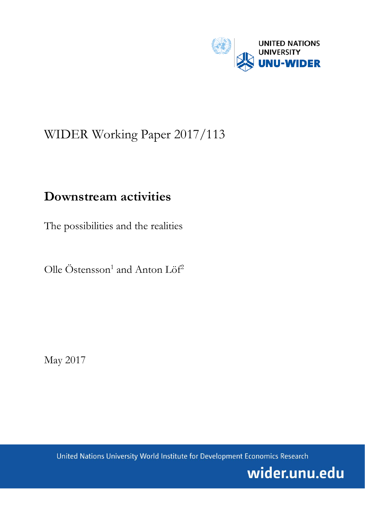

# WIDER Working Paper 2017/113

## **Downstream activities**

The possibilities and the realities

Olle Östensson<sup>1</sup> and Anton Löf<sup>2</sup>

May 2017

United Nations University World Institute for Development Economics Research

wider.unu.edu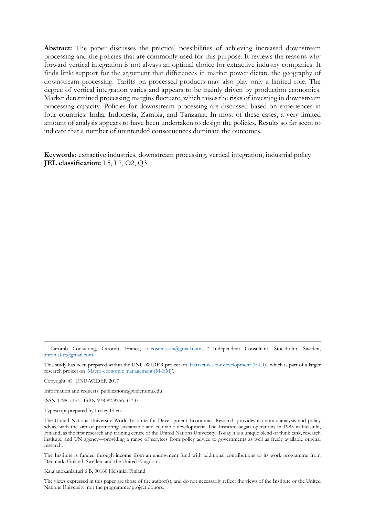Abstract: The paper discusses the practical possibilities of achieving increased downstream processing and the policies that are commonly used for this purpose. It reviews the reasons why forward vertical integration is not always an optimal choice for extractive industry companies. It finds little support for the argument that differences in market power dictate the geography of downstream processing. Tariffs on processed products may also play only a limited role. The degree of vertical integration varies and appears to be mainly driven by production economics. Market determined processing margins fluctuate, which raises the risks of investing in downstream processing capacity. Policies for downstream processing are discussed based on experiences in four countries: India, Indonesia, Zambia, and Tanzania. In most of these cases, a very limited amount of analysis appears to have been undertaken to design the policies. Results so far seem to indicate that a number of unintended consequences dominate the outcomes.

**Keywords:** extractive industries, downstream processing, vertical integration, industrial policy **JEL classification:** L5, L7, O2, Q3

Copyright © UNU-WIDER 2017

Information and requests: publications@wider.unu.edu

ISSN 1798-7237 ISBN 978-92-9256-337-0

Typescript prepared by Lesley Ellen.

The Institute is funded through income from an endowment fund with additional contributions to its work programme from Denmark, Finland, Sweden, and the United Kingdom.

Katajanokanlaituri 6 B, 00160 Helsinki, Finland

The views expressed in this paper are those of the author(s), and do not necessarily reflect the views of the Institute or the United Nations University, nor the programme/project donors.

<sup>1</sup> Caromb Consulting, Caromb, France, [olleostensson@gmail.com;](mailto:olleostensson@gmail.com) <sup>2</sup> Independent Consultant, Stockholm, Sweden, [anton.j.lof@gmail.com.](mailto:anton.j.lof@gmail.com)

This study has been prepared within the UNU-WIDER project on ['Extractives for development \(E4D\)',](https://www.wider.unu.edu/node/474) which is part of a larger research project on ['Macro-economic management \(M-EM\)'.](https://www.wider.unu.edu/node/377)

The United Nations University World Institute for Development Economics Research provides economic analysis and policy advice with the aim of promoting sustainable and equitable development. The Institute began operations in 1985 in Helsinki, Finland, as the first research and training centre of the United Nations University. Today it is a unique blend of think tank, research institute, and UN agency—providing a range of services from policy advice to governments as well as freely available original research.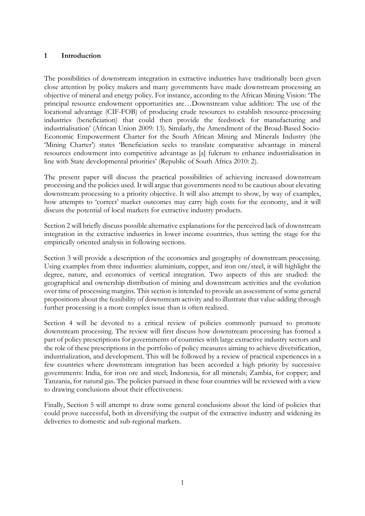## **1 Introduction**

The possibilities of downstream integration in extractive industries have traditionally been given close attention by policy makers and many governments have made downstream processing an objective of mineral and energy policy. For instance, according to the African Mining Vision: 'The principal resource endowment opportunities are…Downstream value addition: The use of the locational advantage (CIF-FOB) of producing crude resources to establish resource-processing industries (beneficiation) that could then provide the feedstock for manufacturing and industrialisation' (African Union 2009: 13). Similarly, the Amendment of the Broad-Based Socio-Economic Empowerment Charter for the South African Mining and Minerals Industry (the 'Mining Charter') states 'Beneficiation seeks to translate comparative advantage in mineral resources endowment into competitive advantage as [a] fulcrum to enhance industrialisation in line with State developmental priorities' (Republic of South Africa 2010: 2).

The present paper will discuss the practical possibilities of achieving increased downstream processing and the policies used. It will argue that governments need to be cautious about elevating downstream processing to a priority objective. It will also attempt to show, by way of examples, how attempts to 'correct' market outcomes may carry high costs for the economy, and it will discuss the potential of local markets for extractive industry products.

Section 2 will briefly discuss possible alternative explanations for the perceived lack of downstream integration in the extractive industries in lower income countries, thus setting the stage for the empirically oriented analysis in following sections.

Section 3 will provide a description of the economics and geography of downstream processing. Using examples from three industries: aluminium, copper, and iron ore/steel, it will highlight the degree, nature, and economics of vertical integration. Two aspects of this are studied: the geographical and ownership distribution of mining and downstream activities and the evolution over time of processing margins. This section is intended to provide an assessment of some general propositions about the feasibility of downstream activity and to illustrate that value-adding through further processing is a more complex issue than is often realized.

Section 4 will be devoted to a critical review of policies commonly pursued to promote downstream processing. The review will first discuss how downstream processing has formed a part of policy prescriptions for governments of countries with large extractive industry sectors and the role of these prescriptions in the portfolio of policy measures aiming to achieve diversification, industrialization, and development. This will be followed by a review of practical experiences in a few countries where downstream integration has been accorded a high priority by successive governments: India, for iron ore and steel; Indonesia, for all minerals; Zambia, for copper; and Tanzania, for natural gas. The policies pursued in these four countries will be reviewed with a view to drawing conclusions about their effectiveness.

Finally, Section 5 will attempt to draw some general conclusions about the kind of policies that could prove successful, both in diversifying the output of the extractive industry and widening its deliveries to domestic and sub-regional markets.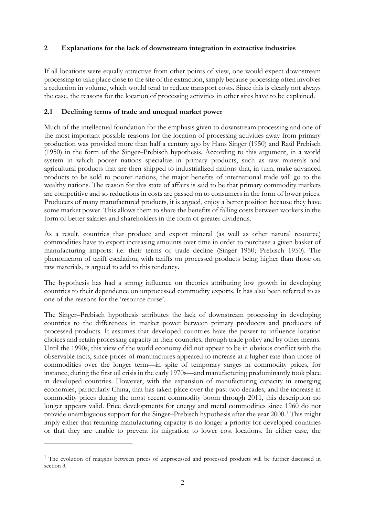#### **2 Explanations for the lack of downstream integration in extractive industries**

If all locations were equally attractive from other points of view, one would expect downstream processing to take place close to the site of the extraction, simply because processing often involves a reduction in volume, which would tend to reduce transport costs. Since this is clearly not always the case, the reasons for the location of processing activities in other sites have to be explained.

## **2.1 Declining terms of trade and unequal market power**

Much of the intellectual foundation for the emphasis given to downstream processing and one of the most important possible reasons for the location of processing activities away from primary production was provided more than half a century ago by Hans Singer (1950) and Raúl Prebisch (1950) in the form of the Singer–Prebisch hypothesis. According to this argument, in a world system in which poorer nations specialize in primary products, such as raw minerals and agricultural products that are then shipped to industrialized nations that, in turn, make advanced products to be sold to poorer nations, the major benefits of international trade will go to the wealthy nations. The reason for this state of affairs is said to be that primary commodity markets are competitive and so reductions in costs are passed on to consumers in the form of lower prices. Producers of many manufactured products, it is argued, enjoy a better position because they have some market power. This allows them to share the benefits of falling costs between workers in the form of better salaries and shareholders in the form of greater dividends.

As a result, countries that produce and export mineral (as well as other natural resource) commodities have to export increasing amounts over time in order to purchase a given basket of manufacturing imports: i.e. their terms of trade decline (Singer 1950; Prebisch 1950). The phenomenon of tariff escalation, with tariffs on processed products being higher than those on raw materials, is argued to add to this tendency.

The hypothesis has had a strong influence on theories attributing low growth in developing countries to their dependence on unprocessed commodity exports. It has also been referred to as one of the reasons for the 'resource curse'.

The Singer–Prebisch hypothesis attributes the lack of downstream processing in developing countries to the differences in market power between primary producers and producers of processed products. It assumes that developed countries have the power to influence location choices and retain processing capacity in their countries, through trade policy and by other means. Until the 1990s, this view of the world economy did not appear to be in obvious conflict with the observable facts, since prices of manufactures appeared to increase at a higher rate than those of commodities over the longer term—in spite of temporary surges in commodity prices, for instance, during the first oil crisis in the early 1970s—and manufacturing predominantly took place in developed countries. However, with the expansion of manufacturing capacity in emerging economies, particularly China, that has taken place over the past two decades, and the increase in commodity prices during the most recent commodity boom through 2011, this description no longer appears valid. Price developments for energy and metal commodities since 1960 do not provide unambiguous support for the Singer–Prebisch hypothesis after the year 2000.<sup>[1](#page-3-0)</sup> This might imply either that retaining manufacturing capacity is no longer a priority for developed countries or that they are unable to prevent its migration to lower cost locations. In either case, the

<u>.</u>

<span id="page-3-0"></span><sup>&</sup>lt;sup>1</sup> The evolution of margins between prices of unprocessed and processed products will be further discussed in section 3.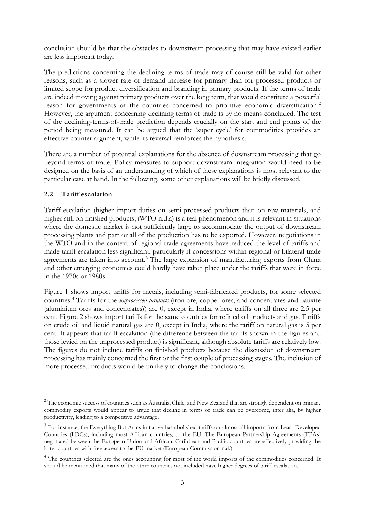conclusion should be that the obstacles to downstream processing that may have existed earlier are less important today.

The predictions concerning the declining terms of trade may of course still be valid for other reasons, such as a slower rate of demand increase for primary than for processed products or limited scope for product diversification and branding in primary products. If the terms of trade are indeed moving against primary products over the long term, that would constitute a powerful reason for governments of the countries concerned to prioritize economic diversification.<sup>[2](#page-4-0)</sup> However, the argument concerning declining terms of trade is by no means concluded. The test of the declining-terms-of-trade prediction depends crucially on the start and end points of the period being measured. It can be argued that the 'super cycle' for commodities provides an effective counter argument, while its reversal reinforces the hypothesis.

There are a number of potential explanations for the absence of downstream processing that go beyond terms of trade. Policy measures to support downstream integration would need to be designed on the basis of an understanding of which of these explanations is most relevant to the particular case at hand. In the following, some other explanations will be briefly discussed.

## **2.2 Tariff escalation**

-

Tariff escalation (higher import duties on semi-processed products than on raw materials, and higher still on finished products, (WTO n.d.a) is a real phenomenon and it is relevant in situations where the domestic market is not sufficiently large to accommodate the output of downstream processing plants and part or all of the production has to be exported. However, negotiations in the WTO and in the context of regional trade agreements have reduced the level of tariffs and made tariff escalation less significant, particularly if concessions within regional or bilateral trade agreements are taken into account.<sup>[3](#page-4-1)</sup> The large expansion of manufacturing exports from China and other emerging economies could hardly have taken place under the tariffs that were in force in the 1970s or 1980s.

Figure 1 shows import tariffs for metals, including semi-fabricated products, for some selected countries.[4](#page-4-2) Tariffs for the *unprocessed products* (iron ore, copper ores, and concentrates and bauxite (aluminium ores and concentrates)) are 0, except in India, where tariffs on all three are 2.5 per cent. Figure 2 shows import tariffs for the same countries for refined oil products and gas. Tariffs on crude oil and liquid natural gas are 0, except in India, where the tariff on natural gas is 5 per cent. It appears that tariff escalation (the difference between the tariffs shown in the figures and those levied on the unprocessed product) is significant, although absolute tariffs are relatively low. The figures do not include tariffs on finished products because the discussion of downstream processing has mainly concerned the first or the first couple of processing stages. The inclusion of more processed products would be unlikely to change the conclusions.

<span id="page-4-0"></span><sup>&</sup>lt;sup>2</sup> The economic success of countries such as Australia, Chile, and New Zealand that are strongly dependent on primary commodity exports would appear to argue that decline in terms of trade can be overcome, inter alia, by higher productivity, leading to a competitive advantage.

<span id="page-4-1"></span><sup>&</sup>lt;sup>3</sup> For instance, the Everything But Arms initiative has abolished tariffs on almost all imports from Least Developed Countries (LDCs), including most African countries, to the EU. The European Partnership Agreements (EPAs) negotiated between the European Union and African, Caribbean and Pacific countries are effectively providing the latter countries with free access to the EU market (European Commission n.d.).

<span id="page-4-2"></span><sup>&</sup>lt;sup>4</sup> The countries selected are the ones accounting for most of the world imports of the commodities concerned. It should be mentioned that many of the other countries not included have higher degrees of tariff escalation.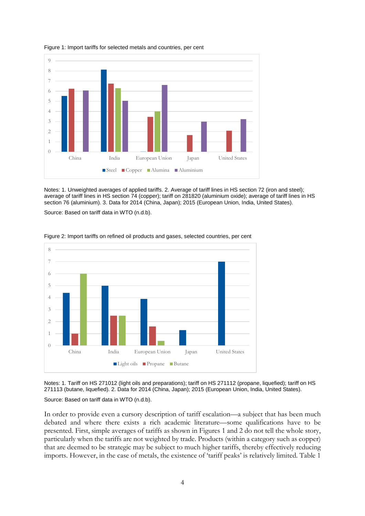

Figure 1: Import tariffs for selected metals and countries, per cent

Notes: 1. Unweighted averages of applied tariffs. 2. Average of tariff lines in HS section 72 (iron and steel); average of tariff lines in HS section 74 (copper); tariff on 281820 (aluminium oxide); average of tariff lines in HS section 76 (aluminium). 3. Data for 2014 (China, Japan); 2015 (European Union, India, United States).

Source: Based on tariff data in WTO (n.d.b).



Figure 2: Import tariffs on refined oil products and gases, selected countries, per cent

Notes: 1. Tariff on HS 271012 (light oils and preparations); tariff on HS 271112 (propane, liquefied); tariff on HS 271113 (butane, liquefied). 2. Data for 2014 (China, Japan); 2015 (European Union, India, United States). Source: Based on tariff data in WTO (n.d.b).

In order to provide even a cursory description of tariff escalation—a subject that has been much debated and where there exists a rich academic literature—some qualifications have to be presented. First, simple averages of tariffs as shown in Figures 1 and 2 do not tell the whole story, particularly when the tariffs are not weighted by trade. Products (within a category such as copper) that are deemed to be strategic may be subject to much higher tariffs, thereby effectively reducing imports. However, in the case of metals, the existence of 'tariff peaks' is relatively limited. Table 1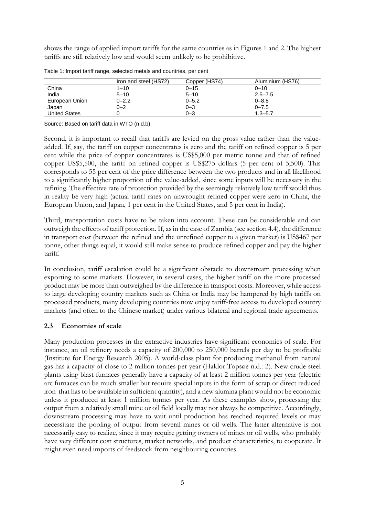shows the range of applied import tariffs for the same countries as in Figures 1 and 2. The highest tariffs are still relatively low and would seem unlikely to be prohibitive.

|                      | Iron and steel (HS72) | Copper (HS74) | Aluminium (HS76) |
|----------------------|-----------------------|---------------|------------------|
| China                | $1 - 10$              | $0 - 15$      | $0 - 10$         |
| India                | $5 - 10$              | $5 - 10$      | $2.5 - 7.5$      |
| European Union       | $0 - 2.2$             | $0 - 5.2$     | $0 - 8.8$        |
| Japan                | $0 - 2$               | $0 - 3$       | $0 - 7.5$        |
| <b>United States</b> |                       | $0 - 3$       | $1.3 - 5.7$      |

Table 1: Import tariff range, selected metals and countries, per cent

Source: Based on tariff data in WTO (n.d.b).

Second, it is important to recall that tariffs are levied on the gross value rather than the valueadded. If, say, the tariff on copper concentrates is zero and the tariff on refined copper is 5 per cent while the price of copper concentrates is US\$5,000 per metric tonne and that of refined copper US\$5,500, the tariff on refined copper is US\$275 dollars (5 per cent of 5,500). This corresponds to 55 per cent of the price difference between the two products and in all likelihood to a significantly higher proportion of the value-added, since some inputs will be necessary in the refining. The effective rate of protection provided by the seemingly relatively low tariff would thus in reality be very high (actual tariff rates on unwrought refined copper were zero in China, the European Union, and Japan, 1 per cent in the United States, and 5 per cent in India).

Third, transportation costs have to be taken into account. These can be considerable and can outweigh the effects of tariff protection. If, as in the case of Zambia (see section 4.4), the difference in transport cost (between the refined and the unrefined copper to a given market) is US\$467 per tonne, other things equal, it would still make sense to produce refined copper and pay the higher tariff.

In conclusion, tariff escalation could be a significant obstacle to downstream processing when exporting to some markets. However, in several cases, the higher tariff on the more processed product may be more than outweighed by the difference in transport costs. Moreover, while access to large developing country markets such as China or India may be hampered by high tariffs on processed products, many developing countries now enjoy tariff-free access to developed country markets (and often to the Chinese market) under various bilateral and regional trade agreements.

#### **2.3 Economies of scale**

Many production processes in the extractive industries have significant economies of scale. For instance, an oil refinery needs a capacity of 200,000 to 250,000 barrels per day to be profitable (Institute for Energy Research 2005). A world-class plant for producing methanol from natural gas has a capacity of close to 2 million tonnes per year (Haldor Topsøe n.d.: 2). New crude steel plants using blast furnaces generally have a capacity of at least 2 million tonnes per year (electric arc furnaces can be much smaller but require special inputs in the form of scrap or direct reduced iron that has to be available in sufficient quantity), and a new alumina plant would not be economic unless it produced at least 1 million tonnes per year. As these examples show, processing the output from a relatively small mine or oil field locally may not always be competitive. Accordingly, downstream processing may have to wait until production has reached required levels or may necessitate the pooling of output from several mines or oil wells. The latter alternative is not necessarily easy to realize, since it may require getting owners of mines or oil wells, who probably have very different cost structures, market networks, and product characteristics, to cooperate. It might even need imports of feedstock from neighbouring countries.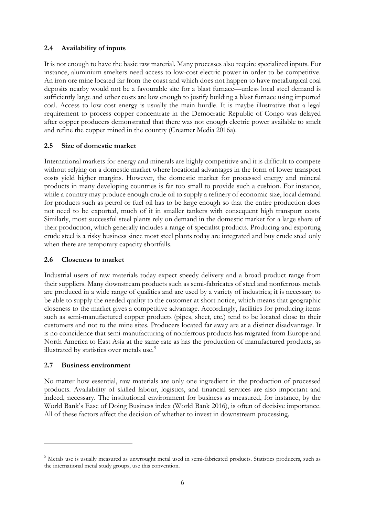## **2.4 Availability of inputs**

It is not enough to have the basic raw material. Many processes also require specialized inputs. For instance, aluminium smelters need access to low-cost electric power in order to be competitive. An iron ore mine located far from the coast and which does not happen to have metallurgical coal deposits nearby would not be a favourable site for a blast furnace—unless local steel demand is sufficiently large and other costs are low enough to justify building a blast furnace using imported coal. Access to low cost energy is usually the main hurdle. It is maybe illustrative that a legal requirement to process copper concentrate in the Democratic Republic of Congo was delayed after copper producers demonstrated that there was not enough electric power available to smelt and refine the copper mined in the country (Creamer Media 2016a).

## **2.5 Size of domestic market**

International markets for energy and minerals are highly competitive and it is difficult to compete without relying on a domestic market where locational advantages in the form of lower transport costs yield higher margins. However, the domestic market for processed energy and mineral products in many developing countries is far too small to provide such a cushion. For instance, while a country may produce enough crude oil to supply a refinery of economic size, local demand for products such as petrol or fuel oil has to be large enough so that the entire production does not need to be exported, much of it in smaller tankers with consequent high transport costs. Similarly, most successful steel plants rely on demand in the domestic market for a large share of their production, which generally includes a range of specialist products. Producing and exporting crude steel is a risky business since most steel plants today are integrated and buy crude steel only when there are temporary capacity shortfalls.

#### **2.6 Closeness to market**

Industrial users of raw materials today expect speedy delivery and a broad product range from their suppliers. Many downstream products such as semi-fabricates of steel and nonferrous metals are produced in a wide range of qualities and are used by a variety of industries; it is necessary to be able to supply the needed quality to the customer at short notice, which means that geographic closeness to the market gives a competitive advantage. Accordingly, facilities for producing items such as semi-manufactured copper products (pipes, sheet, etc.) tend to be located close to their customers and not to the mine sites. Producers located far away are at a distinct disadvantage. It is no coincidence that semi-manufacturing of nonferrous products has migrated from Europe and North America to East Asia at the same rate as has the production of manufactured products, as illustrated by statistics over metals use.<sup>[5](#page-7-0)</sup>

#### **2.7 Business environment**

<u>.</u>

No matter how essential, raw materials are only one ingredient in the production of processed products. Availability of skilled labour, logistics, and financial services are also important and indeed, necessary. The institutional environment for business as measured, for instance, by the World Bank's Ease of Doing Business index (World Bank 2016), is often of decisive importance. All of these factors affect the decision of whether to invest in downstream processing.

<span id="page-7-0"></span><sup>5</sup> Metals use is usually measured as unwrought metal used in semi-fabricated products. Statistics producers, such as the international metal study groups, use this convention.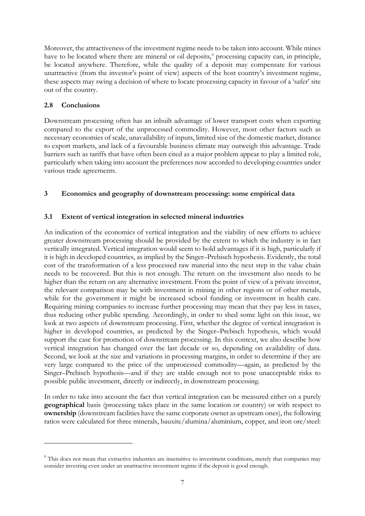Moreover, the attractiveness of the investment regime needs to be taken into account. While mines have to be located where there are mineral or oil deposits, [6](#page-8-0) processing capacity can, in principle, be located anywhere. Therefore, while the quality of a deposit may compensate for various unattractive (from the investor's point of view) aspects of the host country's investment regime, these aspects may swing a decision of where to locate processing capacity in favour of a 'safer' site out of the country.

## **2.8 Conclusions**

<u>.</u>

Downstream processing often has an inbuilt advantage of lower transport costs when exporting compared to the export of the unprocessed commodity. However, most other factors such as necessary economies of scale, unavailability of inputs, limited size of the domestic market, distance to export markets, and lack of a favourable business climate may outweigh this advantage. Trade barriers such as tariffs that have often been cited as a major problem appear to play a limited role, particularly when taking into account the preferences now accorded to developing countries under various trade agreements.

## **3 Economics and geography of downstream processing: some empirical data**

## **3.1 Extent of vertical integration in selected mineral industries**

An indication of the economics of vertical integration and the viability of new efforts to achieve greater downstream processing should be provided by the extent to which the industry is in fact vertically integrated. Vertical integration would seem to hold advantages if it is high, particularly if it is high in developed countries, as implied by the Singer–Prebisch hypothesis. Evidently, the total cost of the transformation of a less processed raw material into the next step in the value chain needs to be recovered. But this is not enough. The return on the investment also needs to be higher than the return on any alternative investment. From the point of view of a private investor, the relevant comparison may be with investment in mining in other regions or of other metals, while for the government it might be increased school funding or investment in health care. Requiring mining companies to increase further processing may mean that they pay less in taxes, thus reducing other public spending. Accordingly, in order to shed some light on this issue, we look at two aspects of downstream processing. First, whether the degree of vertical integration is higher in developed countries, as predicted by the Singer–Prebisch hypothesis, which would support the case for promotion of downstream processing. In this context, we also describe how vertical integration has changed over the last decade or so, depending on availability of data. Second, we look at the size and variations in processing margins, in order to determine if they are very large compared to the price of the unprocessed commodity—again, as predicted by the Singer–Prebisch hypothesis—and if they are stable enough not to pose unacceptable risks to possible public investment, directly or indirectly, in downstream processing.

In order to take into account the fact that vertical integration can be measured either on a purely **geographical** basis (processing takes place in the same location or country) or with respect to **ownership** (downstream facilities have the same corporate owner as upstream ones), the following ratios were calculated for three minerals, bauxite/alumina/aluminium, copper, and iron ore/steel:

<span id="page-8-0"></span><sup>&</sup>lt;sup>6</sup> This does not mean that extractive industries are insensitive to investment conditions, merely that companies may consider investing even under an unattractive investment regime if the deposit is good enough.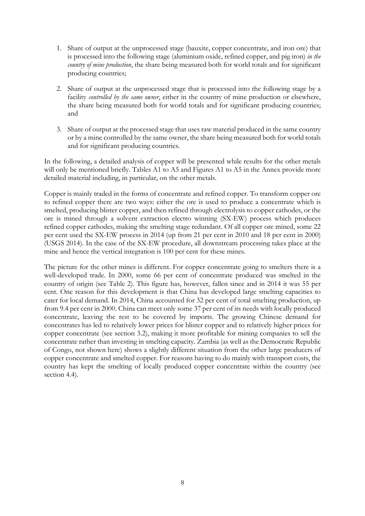- 1. Share of output at the unprocessed stage (bauxite, copper concentrate, and iron ore) that is processed into the following stage (aluminium oxide, refined copper, and pig iron) *in the country of mine production*, the share being measured both for world totals and for significant producing countries;
- 2. Share of output at the unprocessed stage that is processed into the following stage by a facility *controlled by the same owner*, either in the country of mine production or elsewhere, the share being measured both for world totals and for significant producing countries; and
- 3. Share of output at the processed stage that uses raw material produced in the same country or by a mine controlled by the same owner, the share being measured both for world totals and for significant producing countries.

In the following, a detailed analysis of copper will be presented while results for the other metals will only be mentioned briefly. Tables A1 to A5 and Figures A1 to A5 in the Annex provide more detailed material including, in particular, on the other metals.

Copper is mainly traded in the forms of concentrate and refined copper. To transform copper ore to refined copper there are two ways: either the ore is used to produce a concentrate which is smelted, producing blister copper, and then refined through electrolysis to copper cathodes, or the ore is mined through a solvent extraction electro winning (SX-EW) process which produces refined copper cathodes, making the smelting stage redundant. Of all copper ore mined, some 22 per cent used the SX-EW process in 2014 (up from 21 per cent in 2010 and 18 per cent in 2000) (USGS 2014). In the case of the SX-EW procedure, all downstream processing takes place at the mine and hence the vertical integration is 100 per cent for these mines.

The picture for the other mines is different. For copper concentrate going to smelters there is a well-developed trade. In 2000, some 66 per cent of concentrate produced was smelted in the country of origin (see Table 2). This figure has, however, fallen since and in 2014 it was 55 per cent. One reason for this development is that China has developed large smelting capacities to cater for local demand. In 2014, China accounted for 32 per cent of total smelting production, up from 9.4 per cent in 2000. China can meet only some 37 per cent of its needs with locally produced concentrate, leaving the rest to be covered by imports. The growing Chinese demand for concentrates has led to relatively lower prices for blister copper and to relatively higher prices for copper concentrate (see section 3.2), making it more profitable for mining companies to sell the concentrate rather than investing in smelting capacity. Zambia (as well as the Democratic Republic of Congo, not shown here) shows a slightly different situation from the other large producers of copper concentrate and smelted copper. For reasons having to do mainly with transport costs, the country has kept the smelting of locally produced copper concentrate within the country (see section 4.4).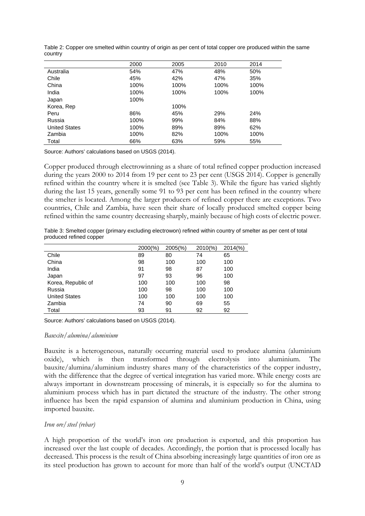|                      | 2000 | 2005 | 2010 | 2014 |
|----------------------|------|------|------|------|
| Australia            | 54%  | 47%  | 48%  | 50%  |
| Chile                | 45%  | 42%  | 47%  | 35%  |
| China                | 100% | 100% | 100% | 100% |
| India                | 100% | 100% | 100% | 100% |
| Japan                | 100% |      |      |      |
| Korea, Rep           |      | 100% |      |      |
| Peru                 | 86%  | 45%  | 29%  | 24%  |
| Russia               | 100% | 99%  | 84%  | 88%  |
| <b>United States</b> | 100% | 89%  | 89%  | 62%  |
| Zambia               | 100% | 82%  | 100% | 100% |
| Total                | 66%  | 63%  | 59%  | 55%  |

Table 2: Copper ore smelted within country of origin as per cent of total copper ore produced within the same country

Source: Authors' calculations based on USGS (2014).

Copper produced through electrowinning as a share of total refined copper production increased during the years 2000 to 2014 from 19 per cent to 23 per cent (USGS 2014). Copper is generally refined within the country where it is smelted (see Table 3). While the figure has varied slightly during the last 15 years, generally some 91 to 93 per cent has been refined in the country where the smelter is located. Among the larger producers of refined copper there are exceptions. Two countries, Chile and Zambia, have seen their share of locally produced smelted copper being refined within the same country decreasing sharply, mainly because of high costs of electric power.

Table 3: Smelted copper (primary excluding electrowon) refined within country of smelter as per cent of total produced refined copper

|                      | $2000(\%)$ | $2005\frac{6}{6}$ | $2010\%$ | $2014\frac{9}{6}$ |
|----------------------|------------|-------------------|----------|-------------------|
| Chile                | 89         | 80                | 74       | 65                |
| China                | 98         | 100               | 100      | 100               |
| India                | 91         | 98                | 87       | 100               |
| Japan                | 97         | 93                | 96       | 100               |
| Korea, Republic of   | 100        | 100               | 100      | 98                |
| Russia               | 100        | 98                | 100      | 100               |
| <b>United States</b> | 100        | 100               | 100      | 100               |
| Zambia               | 74         | 90                | 69       | 55                |
| Total                | 93         | 91                | 92       | 92                |

Source: Authors' calculations based on USGS (2014).

#### *Bauxite/alumina/aluminium*

Bauxite is a heterogeneous, naturally occurring material used to produce alumina (aluminium oxide), which is then transformed through electrolysis into aluminium. bauxite/alumina/aluminium industry shares many of the characteristics of the copper industry, with the difference that the degree of vertical integration has varied more. While energy costs are always important in downstream processing of minerals, it is especially so for the alumina to aluminium process which has in part dictated the structure of the industry. The other strong influence has been the rapid expansion of alumina and aluminium production in China, using imported bauxite.

#### *Iron ore/steel (rebar)*

A high proportion of the world's iron ore production is exported, and this proportion has increased over the last couple of decades. Accordingly, the portion that is processed locally has decreased. This process is the result of China absorbing increasingly large quantities of iron ore as its steel production has grown to account for more than half of the world's output (UNCTAD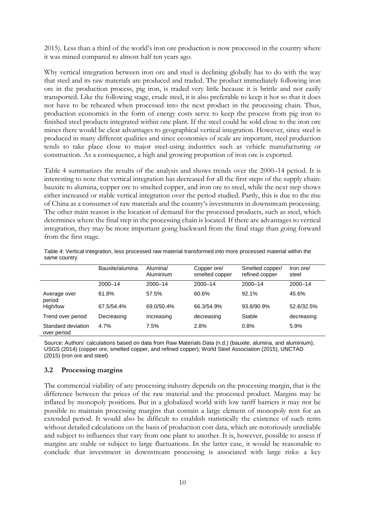2015). Less than a third of the world's iron ore production is now processed in the country where it was mined compared to almost half ten years ago.

Why vertical integration between iron ore and steel is declining globally has to do with the way that steel and its raw materials are produced and traded. The product immediately following iron ore in the production process, pig iron, is traded very little because it is brittle and not easily transported. Like the following stage, crude steel, it is also preferable to keep it hot so that it does not have to be reheated when processed into the next product in the processing chain. Thus, production economics in the form of energy costs serve to keep the process from pig iron to finished steel products integrated within one plant. If the steel could be sold close to the iron ore mines there would be clear advantages to geographical vertical integration. However, since steel is produced in many different qualities and since economies of scale are important, steel production tends to take place close to major steel-using industries such as vehicle manufacturing or construction. As a consequence, a high and growing proportion of iron ore is exported.

Table 4 summarizes the results of the analysis and shows trends over the 2000–14 period. It is interesting to note that vertical integration has decreased for all the first steps of the supply chain: bauxite to alumina, copper ore to smelted copper, and iron ore to steel, while the next step shows either increased or stable vertical integration over the period studied. Partly, this is due to the rise of China as a consumer of raw materials and the country's investments in downstream processing. The other main reason is the location of demand for the processed products, such as steel, which determines where the final step in the processing chain is located. If there are advantages to vertical integration, they may be more important going backward from the final stage than going forward from the first stage.

|                                   | Bauxite/alumina | Alumina/<br>Aluminium | Copper ore/<br>smelted copper | Smelted copper/<br>refined copper | Iron ore/<br>steel |
|-----------------------------------|-----------------|-----------------------|-------------------------------|-----------------------------------|--------------------|
|                                   | $2000 - 14$     | $2000 - 14$           | $2000 - 14$                   | $2000 - 14$                       | $2000 - 14$        |
| Average over<br>period            | 61.8%           | 57.5%                 | 60.6%                         | 92.1%                             | 45.6%              |
| High/low                          | 67.5/54.4%      | 69.0/50.4%            | 66.3/54.9%                    | 93.8/90.9%                        | 52.6/32.5%         |
| Trend over period                 | Decreasing      | Increasing            | decreasing                    | Stable                            | decreasing         |
| Standard deviation<br>over period | 4.7%            | 7.5%                  | 2.8%                          | 0.8%                              | 5.9%               |

Table 4: Vertical integration, less processed raw material transformed into more processed material within the same country

Source: Authors' calculations based on data from Raw Materials Data (n.d.) (bauxite, alumina, and aluminium); USGS (2014) (copper ore, smelted copper, and refined copper); World Steel Association (2015), UNCTAD (2015) (iron ore and steel).

#### **3.2 Processing margins**

The commercial viability of any processing industry depends on the processing margin, that is the difference between the prices of the raw material and the processed product. Margins may be inflated by monopoly positions. But in a globalized world with low tariff barriers it may not be possible to maintain processing margins that contain a large element of monopoly rent for an extended period. It would also be difficult to establish statistically the existence of such rents without detailed calculations on the basis of production cost data, which are notoriously unreliable and subject to influences that vary from one plant to another. It is, however, possible to assess if margins are stable or subject to large fluctuations. In the latter case, it would be reasonable to conclude that investment in downstream processing is associated with large risks: a key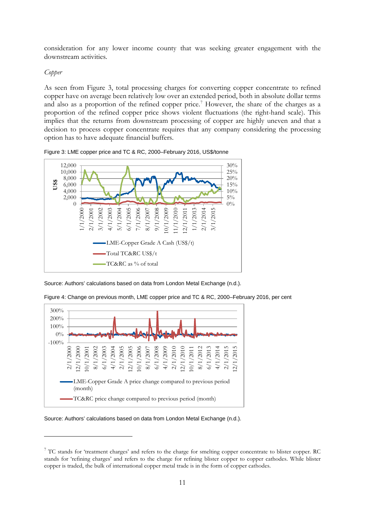consideration for any lower income county that was seeking greater engagement with the downstream activities.

#### *Copper*

-

As seen from Figure 3, total processing charges for converting copper concentrate to refined copper have on average been relatively low over an extended period, both in absolute dollar terms and also as a proportion of the refined copper price.<sup>[7](#page-12-0)</sup> However, the share of the charges as a proportion of the refined copper price shows violent fluctuations (the right-hand scale). This implies that the returns from downstream processing of copper are highly uneven and that a decision to process copper concentrate requires that any company considering the processing option has to have adequate financial buffers.





Source: Authors' calculations based on data from London Metal Exchange (n.d.).



Figure 4: Change on previous month, LME copper price and TC & RC, 2000–February 2016, per cent

Source: Authors' calculations based on data from London Metal Exchange (n.d.).

<span id="page-12-0"></span><sup>&</sup>lt;sup>7</sup> TC stands for 'treatment charges' and refers to the charge for smelting copper concentrate to blister copper. RC stands for 'refining charges' and refers to the charge for refining blister copper to copper cathodes. While blister copper is traded, the bulk of international copper metal trade is in the form of copper cathodes.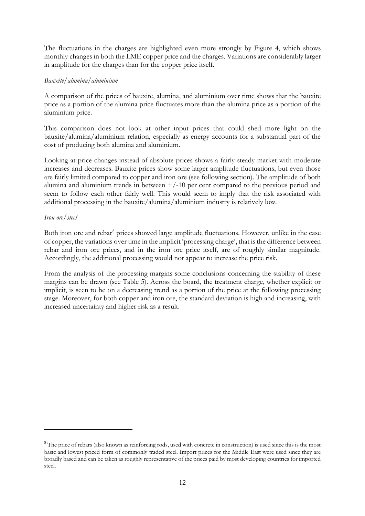The fluctuations in the charges are highlighted even more strongly by Figure 4, which shows monthly changes in both the LME copper price and the charges. Variations are considerably larger in amplitude for the charges than for the copper price itself.

#### *Bauxite/alumina/aluminium*

A comparison of the prices of bauxite, alumina, and aluminium over time shows that the bauxite price as a portion of the alumina price fluctuates more than the alumina price as a portion of the aluminium price.

This comparison does not look at other input prices that could shed more light on the bauxite/alumina/aluminium relation, especially as energy accounts for a substantial part of the cost of producing both alumina and aluminium.

Looking at price changes instead of absolute prices shows a fairly steady market with moderate increases and decreases. Bauxite prices show some larger amplitude fluctuations, but even those are fairly limited compared to copper and iron ore (see following section). The amplitude of both alumina and aluminium trends in between  $+/-10$  per cent compared to the previous period and seem to follow each other fairly well. This would seem to imply that the risk associated with additional processing in the bauxite/alumina/aluminium industry is relatively low.

#### *Iron ore/steel*

-

Both iron ore and rebar<sup>8</sup> prices showed large amplitude fluctuations. However, unlike in the case of copper, the variations over time in the implicit 'processing charge', that is the difference between rebar and iron ore prices, and in the iron ore price itself, are of roughly similar magnitude. Accordingly, the additional processing would not appear to increase the price risk.

From the analysis of the processing margins some conclusions concerning the stability of these margins can be drawn (see Table 5). Across the board, the treatment charge, whether explicit or implicit, is seen to be on a decreasing trend as a portion of the price at the following processing stage. Moreover, for both copper and iron ore, the standard deviation is high and increasing, with increased uncertainty and higher risk as a result.

<span id="page-13-0"></span><sup>&</sup>lt;sup>8</sup> The price of rebars (also known as reinforcing rods, used with concrete in construction) is used since this is the most basic and lowest priced form of commonly traded steel. Import prices for the Middle East were used since they are broadly based and can be taken as roughly representative of the prices paid by most developing countries for imported steel.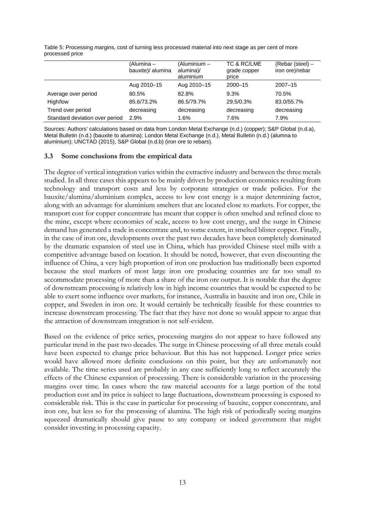Table 5: Processing margins, cost of turning less processed material into next stage as per cent of more processed price

|                                | (Alumina –<br>bauxite)/ alumina | (Aluminium -<br>alumina)/<br>aluminium | TC & RC/LME<br>grade copper<br>price | (Rebar (steel) -<br>iron ore)/rebar |
|--------------------------------|---------------------------------|----------------------------------------|--------------------------------------|-------------------------------------|
|                                | Aug 2010-15                     | Aug 2010-15                            | $2000 - 15$                          | $2007 - 15$                         |
| Average over period            | 80.5%                           | 82.8%                                  | 9.3%                                 | 70.5%                               |
| High/low                       | 85.6/73.2%                      | 86.5/79.7%                             | 29.5/0.3%                            | 83.0/55.7%                          |
| Trend over period              | decreasing                      | decreasing                             | decreasing                           | decreasing                          |
| Standard deviation over period | 2.9%                            | 1.6%                                   | 7.6%                                 | 7.9%                                |

Sources: Authors' calculations based on data from London Metal Exchange (n.d.) (copper); S&P Global (n.d.a), Metal Bulletin (n.d.) (bauxite to alumina); London Metal Exchange (n.d.), Metal Bulletin (n.d.) (alumna to aluminium); UNCTAD (2015), S&P Global (n.d.b) (iron ore to rebars).

#### **3.3 Some conclusions from the empirical data**

The degree of vertical integration varies within the extractive industry and between the three metals studied. In all three cases this appears to be mainly driven by production economics resulting from technology and transport costs and less by corporate strategies or trade policies. For the bauxite/alumina/aluminium complex, access to low cost energy is a major determining factor, along with an advantage for aluminium smelters that are located close to markets. For copper, the transport cost for copper concentrate has meant that copper is often smelted and refined close to the mine, except where economies of scale, access to low cost energy, and the surge in Chinese demand has generated a trade in concentrate and, to some extent, in smelted blister copper. Finally, in the case of iron ore, developments over the past two decades have been completely dominated by the dramatic expansion of steel use in China, which has provided Chinese steel mills with a competitive advantage based on location. It should be noted, however, that even discounting the influence of China, a very high proportion of iron ore production has traditionally been exported because the steel markets of most large iron ore producing countries are far too small to accommodate processing of more than a share of the iron ore output. It is notable that the degree of downstream processing is relatively low in high income countries that would be expected to be able to exert some influence over markets, for instance, Australia in bauxite and iron ore, Chile in copper, and Sweden in iron ore. It would certainly be technically feasible for these countries to increase downstream processing. The fact that they have not done so would appear to argue that the attraction of downstream integration is not self-evident.

Based on the evidence of price series, processing margins do not appear to have followed any particular trend in the past two decades. The surge in Chinese processing of all three metals could have been expected to change price behaviour. But this has not happened. Longer price series would have allowed more definite conclusions on this point, but they are unfortunately not available. The time series used are probably in any case sufficiently long to reflect accurately the effects of the Chinese expansion of processing. There is considerable variation in the processing margins over time. In cases where the raw material accounts for a large portion of the total production cost and its price is subject to large fluctuations, downstream processing is exposed to considerable risk. This is the case in particular for processing of bauxite, copper concentrate, and iron ore, but less so for the processing of alumina. The high risk of periodically seeing margins squeezed dramatically should give pause to any company or indeed government that might consider investing in processing capacity.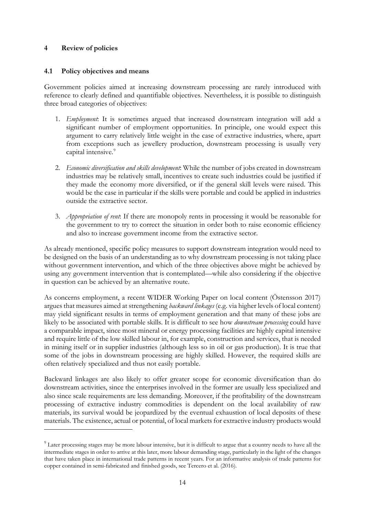## **4 Review of policies**

-

#### **4.1 Policy objectives and means**

Government policies aimed at increasing downstream processing are rarely introduced with reference to clearly defined and quantifiable objectives. Nevertheless, it is possible to distinguish three broad categories of objectives:

- 1. *Employment*: It is sometimes argued that increased downstream integration will add a significant number of employment opportunities. In principle, one would expect this argument to carry relatively little weight in the case of extractive industries, where, apart from exceptions such as jewellery production, downstream processing is usually very capital intensive.<sup>[9](#page-15-0)</sup>
- 2. *Economic diversification and skills development*: While the number of jobs created in downstream industries may be relatively small, incentives to create such industries could be justified if they made the economy more diversified, or if the general skill levels were raised. This would be the case in particular if the skills were portable and could be applied in industries outside the extractive sector.
- 3. *Appropriation of rent*: If there are monopoly rents in processing it would be reasonable for the government to try to correct the situation in order both to raise economic efficiency and also to increase government income from the extractive sector.

As already mentioned, specific policy measures to support downstream integration would need to be designed on the basis of an understanding as to why downstream processing is not taking place without government intervention, and which of the three objectives above might be achieved by using any government intervention that is contemplated—while also considering if the objective in question can be achieved by an alternative route.

As concerns employment, a recent WIDER Working Paper on local content (Östensson 2017) argues that measures aimed at strengthening *backward linkages* (e.g. via higher levels of local content) may yield significant results in terms of employment generation and that many of these jobs are likely to be associated with portable skills. It is difficult to see how *downstream processing* could have a comparable impact, since most mineral or energy processing facilities are highly capital intensive and require little of the low skilled labour in, for example, construction and services, that is needed in mining itself or in supplier industries (although less so in oil or gas production). It is true that some of the jobs in downstream processing are highly skilled. However, the required skills are often relatively specialized and thus not easily portable.

Backward linkages are also likely to offer greater scope for economic diversification than do downstream activities, since the enterprises involved in the former are usually less specialized and also since scale requirements are less demanding. Moreover, if the profitability of the downstream processing of extractive industry commodities is dependent on the local availability of raw materials, its survival would be jeopardized by the eventual exhaustion of local deposits of these materials. The existence, actual or potential, of local markets for extractive industry products would

<span id="page-15-0"></span> $9$  Later processing stages may be more labour intensive, but it is difficult to argue that a country needs to have all the intermediate stages in order to arrive at this later, more labour demanding stage, particularly in the light of the changes that have taken place in international trade patterns in recent years. For an informative analysis of trade patterns for copper contained in semi-fabricated and finished goods, see Tercero et al. (2016).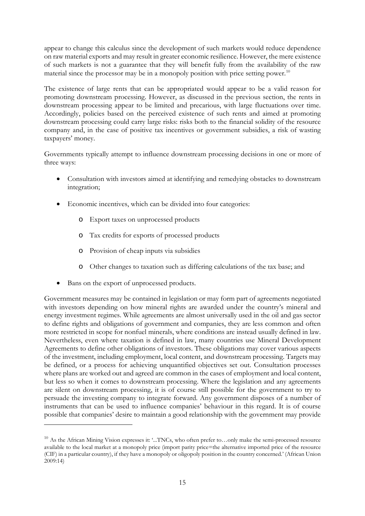appear to change this calculus since the development of such markets would reduce dependence on raw material exports and may result in greater economic resilience. However, the mere existence of such markets is not a guarantee that they will benefit fully from the availability of the raw material since the processor may be in a monopoly position with price setting power.<sup>[10](#page-16-0)</sup>

The existence of large rents that can be appropriated would appear to be a valid reason for promoting downstream processing. However, as discussed in the previous section, the rents in downstream processing appear to be limited and precarious, with large fluctuations over time. Accordingly, policies based on the perceived existence of such rents and aimed at promoting downstream processing could carry large risks: risks both to the financial solidity of the resource company and, in the case of positive tax incentives or government subsidies, a risk of wasting taxpayers' money.

Governments typically attempt to influence downstream processing decisions in one or more of three ways:

- Consultation with investors aimed at identifying and remedying obstacles to downstream integration;
- Economic incentives, which can be divided into four categories:
	- o Export taxes on unprocessed products
	- o Tax credits for exports of processed products
	- o Provision of cheap inputs via subsidies
	- o Other changes to taxation such as differing calculations of the tax base; and
- Bans on the export of unprocessed products.

-

Government measures may be contained in legislation or may form part of agreements negotiated with investors depending on how mineral rights are awarded under the country's mineral and energy investment regimes. While agreements are almost universally used in the oil and gas sector to define rights and obligations of government and companies, they are less common and often more restricted in scope for nonfuel minerals, where conditions are instead usually defined in law. Nevertheless, even where taxation is defined in law, many countries use Mineral Development Agreements to define other obligations of investors. These obligations may cover various aspects of the investment, including employment, local content, and downstream processing. Targets may be defined, or a process for achieving unquantified objectives set out. Consultation processes where plans are worked out and agreed are common in the cases of employment and local content, but less so when it comes to downstream processing. Where the legislation and any agreements are silent on downstream processing, it is of course still possible for the government to try to persuade the investing company to integrate forward. Any government disposes of a number of instruments that can be used to influence companies' behaviour in this regard. It is of course possible that companies' desire to maintain a good relationship with the government may provide

<span id="page-16-0"></span><sup>&</sup>lt;sup>10</sup> As the African Mining Vision expresses it: '...TNCs, who often prefer to...only make the semi-processed resource available to the local market at a monopoly price (import parity price=the alternative imported price of the resource (CIF) in a particular country), if they have a monopoly or oligopoly position in the country concerned.' (African Union 2009:14)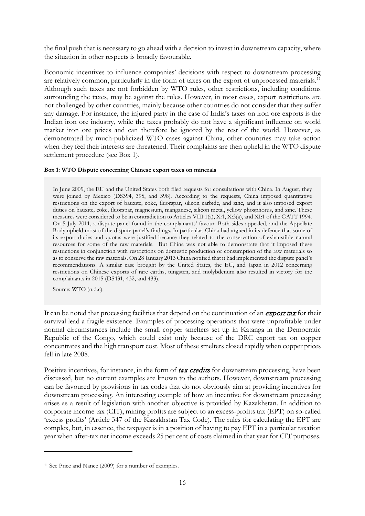the final push that is necessary to go ahead with a decision to invest in downstream capacity, where the situation in other respects is broadly favourable.

Economic incentives to influence companies' decisions with respect to downstream processing are relatively common, particularly in the form of taxes on the export of unprocessed materials.<sup>[11](#page-17-0)</sup> Although such taxes are not forbidden by WTO rules, other restrictions, including conditions surrounding the taxes, may be against the rules. However, in most cases, export restrictions are not challenged by other countries, mainly because other countries do not consider that they suffer any damage. For instance, the injured party in the case of India's taxes on iron ore exports is the Indian iron ore industry, while the taxes probably do not have a significant influence on world market iron ore prices and can therefore be ignored by the rest of the world. However, as demonstrated by much-publicized WTO cases against China, other countries may take action when they feel their interests are threatened. Their complaints are then upheld in the WTO dispute settlement procedure (see Box 1).

#### **Box 1: WTO Dispute concerning Chinese export taxes on minerals**

In June 2009, the EU and the United States both filed requests for consultations with China. In August, they were joined by Mexico (DS394, 395, and 398). According to the requests, China imposed quantitative restrictions on the export of bauxite, coke, fluorspar, silicon carbide, and zinc, and it also imposed export duties on bauxite, coke, fluorspar, magnesium, manganese, silicon metal, yellow phosphorus, and zinc. These measures were considered to be in contradiction to Articles VIII:1(a), X:1, X:3(a), and XI:1 of the GATT 1994. On 5 July 2011, a dispute panel found in the complainants' favour. Both sides appealed, and the Appellate Body upheld most of the dispute panel's findings. In particular, China had argued in its defence that some of its export duties and quotas were justified because they related to the conservation of exhaustible natural resources for some of the raw materials. But China was not able to demonstrate that it imposed these restrictions in conjunction with restrictions on domestic production or consumption of the raw materials so as to conserve the raw materials. On 28 January 2013 China notified that it had implemented the dispute panel's recommendations. A similar case brought by the United States, the EU, and Japan in 2012 concerning restrictions on Chinese exports of rare earths, tungsten, and molybdenum also resulted in victory for the complainants in 2015 (DS431, 432, and 433).

Source: WTO (n.d.c).

-

It can be noted that processing facilities that depend on the continuation of an **export tax** for their survival lead a fragile existence. Examples of processing operations that were unprofitable under normal circumstances include the small copper smelters set up in Katanga in the Democratic Republic of the Congo, which could exist only because of the DRC export tax on copper concentrates and the high transport cost. Most of these smelters closed rapidly when copper prices fell in late 2008.

Positive incentives, for instance, in the form of tax credits for downstream processing, have been discussed, but no current examples are known to the authors. However, downstream processing can be favoured by provisions in tax codes that do not obviously aim at providing incentives for downstream processing. An interesting example of how an incentive for downstream processing arises as a result of legislation with another objective is provided by Kazakhstan. In addition to corporate income tax (CIT), mining profits are subject to an excess-profits tax (EPT) on so-called 'excess profits' (Article 347 of the Kazakhstan Tax Code). The rules for calculating the EPT are complex, but, in essence, the taxpayer is in a position of having to pay EPT in a particular taxation year when after-tax net income exceeds 25 per cent of costs claimed in that year for CIT purposes.

<span id="page-17-0"></span><sup>11</sup> See Price and Nance (2009) for a number of examples.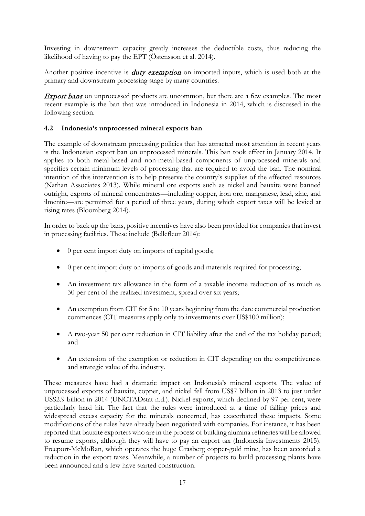Investing in downstream capacity greatly increases the deductible costs, thus reducing the likelihood of having to pay the EPT (Östensson et al. 2014).

Another positive incentive is *duty exemption* on imported inputs, which is used both at the primary and downstream processing stage by many countries.

**Export bans** on unprocessed products are uncommon, but there are a few examples. The most recent example is the ban that was introduced in Indonesia in 2014, which is discussed in the following section.

## **4.2 Indonesia's unprocessed mineral exports ban**

The example of downstream processing policies that has attracted most attention in recent years is the Indonesian export ban on unprocessed minerals. This ban took effect in January 2014. It applies to both metal-based and non-metal-based components of unprocessed minerals and specifies certain minimum levels of processing that are required to avoid the ban. The nominal intention of this intervention is to help preserve the country's supplies of the affected resources (Nathan Associates 2013). While mineral ore exports such as nickel and bauxite were banned outright, exports of mineral concentrates—including copper, iron ore, manganese, lead, zinc, and ilmenite—are permitted for a period of three years, during which export taxes will be levied at rising rates (Bloomberg 2014).

In order to back up the bans, positive incentives have also been provided for companies that invest in processing facilities. These include (Bellefleur 2014):

- 0 per cent import duty on imports of capital goods;
- 0 per cent import duty on imports of goods and materials required for processing;
- An investment tax allowance in the form of a taxable income reduction of as much as 30 per cent of the realized investment, spread over six years;
- An exemption from CIT for 5 to 10 years beginning from the date commercial production commences (CIT measures apply only to investments over US\$100 million);
- A two-year 50 per cent reduction in CIT liability after the end of the tax holiday period; and
- An extension of the exemption or reduction in CIT depending on the competitiveness and strategic value of the industry.

These measures have had a dramatic impact on Indonesia's mineral exports. The value of unprocessed exports of bauxite, copper, and nickel fell from US\$7 billion in 2013 to just under US\$2.9 billion in 2014 (UNCTADstat n.d.). Nickel exports, which declined by 97 per cent, were particularly hard hit. The fact that the rules were introduced at a time of falling prices and widespread excess capacity for the minerals concerned, has exacerbated these impacts. Some modifications of the rules have already been negotiated with companies. For instance, it has been reported that bauxite exporters who are in the process of building alumina refineries will be allowed to resume exports, although they will have to pay an export tax (Indonesia Investments 2015). Freeport-McMoRan, which operates the huge Grasberg copper-gold mine, has been accorded a reduction in the export taxes. Meanwhile, a number of projects to build processing plants have been announced and a few have started construction.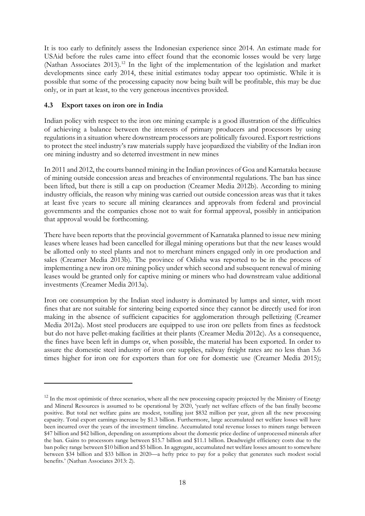It is too early to definitely assess the Indonesian experience since 2014. An estimate made for USAid before the rules came into effect found that the economic losses would be very large (Nathan Associates 2013).<sup>[12](#page-19-0)</sup> In the light of the implementation of the legislation and market developments since early 2014, these initial estimates today appear too optimistic. While it is possible that some of the processing capacity now being built will be profitable, this may be due only, or in part at least, to the very generous incentives provided.

## **4.3 Export taxes on iron ore in India**

-

Indian policy with respect to the iron ore mining example is a good illustration of the difficulties of achieving a balance between the interests of primary producers and processors by using regulations in a situation where downstream processors are politically favoured. Export restrictions to protect the steel industry's raw materials supply have jeopardized the viability of the Indian iron ore mining industry and so deterred investment in new mines

In 2011 and 2012, the courts banned mining in the Indian provinces of Goa and Karnataka because of mining outside concession areas and breaches of environmental regulations. The ban has since been lifted, but there is still a cap on production (Creamer Media 2012b). According to mining industry officials, the reason why mining was carried out outside concession areas was that it takes at least five years to secure all mining clearances and approvals from federal and provincial governments and the companies chose not to wait for formal approval, possibly in anticipation that approval would be forthcoming.

There have been reports that the provincial government of Karnataka planned to issue new mining leases where leases had been cancelled for illegal mining operations but that the new leases would be allotted only to steel plants and not to merchant miners engaged only in ore production and sales (Creamer Media 2013b). The province of Odisha was reported to be in the process of implementing a new iron ore mining policy under which second and subsequent renewal of mining leases would be granted only for captive mining or miners who had downstream value additional investments (Creamer Media 2013a).

Iron ore consumption by the Indian steel industry is dominated by lumps and sinter, with most fines that are not suitable for sintering being exported since they cannot be directly used for iron making in the absence of sufficient capacities for agglomeration through pelletizing (Creamer Media 2012a). Most steel producers are equipped to use iron ore pellets from fines as feedstock but do not have pellet-making facilities at their plants (Creamer Media 2012c). As a consequence, the fines have been left in dumps or, when possible, the material has been exported. In order to assure the domestic steel industry of iron ore supplies, railway freight rates are no less than 3.6 times higher for iron ore for exporters than for ore for domestic use (Creamer Media 2015);

<span id="page-19-0"></span><sup>&</sup>lt;sup>12</sup> In the most optimistic of three scenarios, where all the new processing capacity projected by the Ministry of Energy and Mineral Resources is assumed to be operational by 2020, 'yearly net welfare effects of the ban finally become positive. But total net welfare gains are modest, totalling just \$832 million per year, given all the new processing capacity. Total export earnings increase by \$1.3 billion. Furthermore, large accumulated net welfare losses will have been incurred over the years of the investment timeline. Accumulated total revenue losses to miners range between \$47 billion and \$42 billion, depending on assumptions about the domestic price decline of unprocessed minerals after the ban. Gains to processors range between \$15.7 billion and \$11.1 billion. Deadweight efficiency costs due to the ban policy range between \$10 billion and \$5 billion. In aggregate, accumulated net welfare losses amount to somewhere between \$34 billion and \$33 billion in 2020—a hefty price to pay for a policy that generates such modest social benefits.' (Nathan Associates 2013: 2).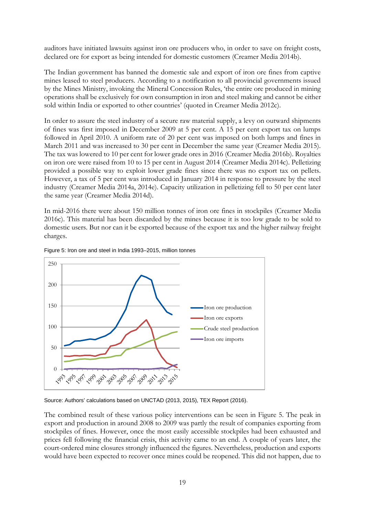auditors have initiated lawsuits against iron ore producers who, in order to save on freight costs, declared ore for export as being intended for domestic customers (Creamer Media 2014b).

The Indian government has banned the domestic sale and export of iron ore fines from captive mines leased to steel producers. According to a notification to all provincial governments issued by the Mines Ministry, invoking the Mineral Concession Rules, 'the entire ore produced in mining operations shall be exclusively for own consumption in iron and steel making and cannot be either sold within India or exported to other countries' (quoted in Creamer Media 2012c).

In order to assure the steel industry of a secure raw material supply, a levy on outward shipments of fines was first imposed in December 2009 at 5 per cent. A 15 per cent export tax on lumps followed in April 2010. A uniform rate of 20 per cent was imposed on both lumps and fines in March 2011 and was increased to 30 per cent in December the same year (Creamer Media 2015). The tax was lowered to 10 per cent for lower grade ores in 2016 (Creamer Media 2016b). Royalties on iron ore were raised from 10 to 15 per cent in August 2014 (Creamer Media 2014c). Pelletizing provided a possible way to exploit lower grade fines since there was no export tax on pellets. However, a tax of 5 per cent was introduced in January 2014 in response to pressure by the steel industry (Creamer Media 2014a, 2014e). Capacity utilization in pelletizing fell to 50 per cent later the same year (Creamer Media 2014d).

In mid-2016 there were about 150 million tonnes of iron ore fines in stockpiles (Creamer Media 2016c). This material has been discarded by the mines because it is too low grade to be sold to domestic users. But nor can it be exported because of the export tax and the higher railway freight charges.



Figure 5: Iron ore and steel in India 1993–2015, million tonnes

Source: Authors' calculations based on UNCTAD (2013, 2015), TEX Report (2016).

The combined result of these various policy interventions can be seen in Figure 5. The peak in export and production in around 2008 to 2009 was partly the result of companies exporting from stockpiles of fines. However, once the most easily accessible stockpiles had been exhausted and prices fell following the financial crisis, this activity came to an end. A couple of years later, the court-ordered mine closures strongly influenced the figures. Nevertheless, production and exports would have been expected to recover once mines could be reopened. This did not happen, due to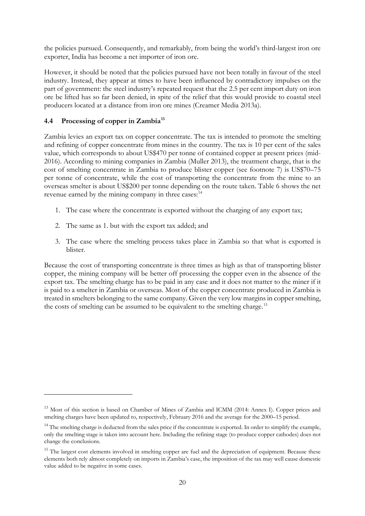the policies pursued. Consequently, and remarkably, from being the world's third-largest iron ore exporter, India has become a net importer of iron ore.

However, it should be noted that the policies pursued have not been totally in favour of the steel industry. Instead, they appear at times to have been influenced by contradictory impulses on the part of government: the steel industry's repeated request that the 2.5 per cent import duty on iron ore be lifted has so far been denied, in spite of the relief that this would provide to coastal steel producers located at a distance from iron ore mines (Creamer Media 2013a).

## **4.4 Processing of copper in Zambia[13](#page-21-0)**

-

Zambia levies an export tax on copper concentrate. The tax is intended to promote the smelting and refining of copper concentrate from mines in the country. The tax is 10 per cent of the sales value, which corresponds to about US\$470 per tonne of contained copper at present prices (mid-2016). According to mining companies in Zambia (Muller 2013), the treatment charge, that is the cost of smelting concentrate in Zambia to produce blister copper (see footnote 7) is US\$70–75 per tonne of concentrate, while the cost of transporting the concentrate from the mine to an overseas smelter is about US\$200 per tonne depending on the route taken. Table 6 shows the net revenue earned by the mining company in three cases:<sup>[14](#page-21-1)</sup>

- 1. The case where the concentrate is exported without the charging of any export tax;
- 2. The same as 1. but with the export tax added; and
- 3. The case where the smelting process takes place in Zambia so that what is exported is blister.

Because the cost of transporting concentrate is three times as high as that of transporting blister copper, the mining company will be better off processing the copper even in the absence of the export tax. The smelting charge has to be paid in any case and it does not matter to the miner if it is paid to a smelter in Zambia or overseas. Most of the copper concentrate produced in Zambia is treated in smelters belonging to the same company. Given the very low margins in copper smelting, the costs of smelting can be assumed to be equivalent to the smelting charge.<sup>[15](#page-21-2)</sup>

<span id="page-21-0"></span><sup>&</sup>lt;sup>13</sup> Most of this section is based on Chamber of Mines of Zambia and ICMM (2014: Annex I). Copper prices and smelting charges have been updated to, respectively, February 2016 and the average for the 2000–15 period.

<span id="page-21-1"></span><sup>&</sup>lt;sup>14</sup> The smelting charge is deducted from the sales price if the concentrate is exported. In order to simplify the example, only the smelting stage is taken into account here. Including the refining stage (to produce copper cathodes) does not change the conclusions.

<span id="page-21-2"></span><sup>&</sup>lt;sup>15</sup> The largest cost elements involved in smelting copper are fuel and the depreciation of equipment. Because these elements both rely almost completely on imports in Zambia's case, the imposition of the tax may well cause domestic value added to be negative in some cases.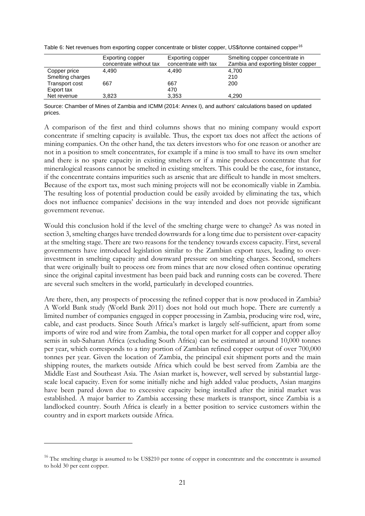Table 6: Net revenues from exporting copper concentrate or blister copper, US\$/tonne contained copper<sup>[16](#page-22-0)</sup>

|                                  | Exporting copper<br>concentrate without tax | Exporting copper<br>concentrate with tax | Smelting copper concentrate in<br>Zambia and exporting blister copper |
|----------------------------------|---------------------------------------------|------------------------------------------|-----------------------------------------------------------------------|
| Copper price<br>Smelting charges | 4.490                                       | 4.490                                    | 4.700<br>210                                                          |
| Transport cost<br>Export tax     | 667                                         | 667<br>470                               | 200                                                                   |
| Net revenue                      | 3,823                                       | 3.353                                    | 4.290                                                                 |

Source: Chamber of Mines of Zambia and ICMM (2014: Annex I), and authors' calculations based on updated prices.

A comparison of the first and third columns shows that no mining company would export concentrate if smelting capacity is available. Thus, the export tax does not affect the actions of mining companies. On the other hand, the tax deters investors who for one reason or another are not in a position to smelt concentrates, for example if a mine is too small to have its own smelter and there is no spare capacity in existing smelters or if a mine produces concentrate that for mineralogical reasons cannot be smelted in existing smelters. This could be the case, for instance, if the concentrate contains impurities such as arsenic that are difficult to handle in most smelters. Because of the export tax, most such mining projects will not be economically viable in Zambia. The resulting loss of potential production could be easily avoided by eliminating the tax, which does not influence companies' decisions in the way intended and does not provide significant government revenue.

Would this conclusion hold if the level of the smelting charge were to change? As was noted in section 3, smelting charges have trended downwards for a long time due to persistent over-capacity at the smelting stage. There are two reasons for the tendency towards excess capacity. First, several governments have introduced legislation similar to the Zambian export taxes, leading to overinvestment in smelting capacity and downward pressure on smelting charges. Second, smelters that were originally built to process ore from mines that are now closed often continue operating since the original capital investment has been paid back and running costs can be covered. There are several such smelters in the world, particularly in developed countries.

Are there, then, any prospects of processing the refined copper that is now produced in Zambia? A World Bank study (World Bank 2011) does not hold out much hope. There are currently a limited number of companies engaged in copper processing in Zambia, producing wire rod, wire, cable, and cast products. Since South Africa's market is largely self-sufficient, apart from some imports of wire rod and wire from Zambia, the total open market for all copper and copper alloy semis in sub-Saharan Africa (excluding South Africa) can be estimated at around 10,000 tonnes per year, which corresponds to a tiny portion of Zambian refined copper output of over 700,000 tonnes per year. Given the location of Zambia, the principal exit shipment ports and the main shipping routes, the markets outside Africa which could be best served from Zambia are the Middle East and Southeast Asia. The Asian market is, however, well served by substantial largescale local capacity. Even for some initially niche and high added value products, Asian margins have been pared down due to excessive capacity being installed after the initial market was established. A major barrier to Zambia accessing these markets is transport, since Zambia is a landlocked country. South Africa is clearly in a better position to service customers within the country and in export markets outside Africa.

<u>.</u>

<span id="page-22-0"></span><sup>&</sup>lt;sup>16</sup> The smelting charge is assumed to be US\$210 per tonne of copper in concentrate and the concentrate is assumed to hold 30 per cent copper.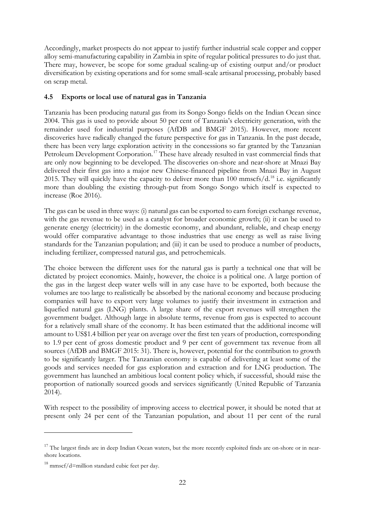Accordingly, market prospects do not appear to justify further industrial scale copper and copper alloy semi-manufacturing capability in Zambia in spite of regular political pressures to do just that. There may, however, be scope for some gradual scaling-up of existing output and/or product diversification by existing operations and for some small-scale artisanal processing, probably based on scrap metal.

## **4.5 Exports or local use of natural gas in Tanzania**

Tanzania has been producing natural gas from its Songo Songo fields on the Indian Ocean since 2004. This gas is used to provide about 50 per cent of Tanzania's electricity generation, with the remainder used for industrial purposes (AfDB and BMGF 2015). However, more recent discoveries have radically changed the future perspective for gas in Tanzania. In the past decade, there has been very large exploration activity in the concessions so far granted by the Tanzanian Petroleum Development Corporation.<sup>[17](#page-23-0)</sup> These have already resulted in vast commercial finds that are only now beginning to be developed. The discoveries on-shore and near-shore at Mnazi Bay delivered their first gas into a major new Chinese-financed pipeline from Mnazi Bay in August 2015. They will quickly have the capacity to deliver more than 100 mmscfs/d.<sup>[18](#page-23-1)</sup> i.e. significantly more than doubling the existing through-put from Songo Songo which itself is expected to increase (Roe 2016).

The gas can be used in three ways: (i) natural gas can be exported to earn foreign exchange revenue, with the gas revenue to be used as a catalyst for broader economic growth; (ii) it can be used to generate energy (electricity) in the domestic economy, and abundant, reliable, and cheap energy would offer comparative advantage to those industries that use energy as well as raise living standards for the Tanzanian population; and (iii) it can be used to produce a number of products, including fertilizer, compressed natural gas, and petrochemicals.

The choice between the different uses for the natural gas is partly a technical one that will be dictated by project economics. Mainly, however, the choice is a political one. A large portion of the gas in the largest deep water wells will in any case have to be exported, both because the volumes are too large to realistically be absorbed by the national economy and because producing companies will have to export very large volumes to justify their investment in extraction and liquefied natural gas (LNG) plants. A large share of the export revenues will strengthen the government budget. Although large in absolute terms, revenue from gas is expected to account for a relatively small share of the economy. It has been estimated that the additional income will amount to US\$1.4 billion per year on average over the first ten years of production, corresponding to 1.9 per cent of gross domestic product and 9 per cent of government tax revenue from all sources (AfDB and BMGF 2015: 31). There is, however, potential for the contribution to growth to be significantly larger. The Tanzanian economy is capable of delivering at least some of the goods and services needed for gas exploration and extraction and for LNG production. The government has launched an ambitious local content policy which, if successful, should raise the proportion of nationally sourced goods and services significantly (United Republic of Tanzania 2014).

With respect to the possibility of improving access to electrical power, it should be noted that at present only 24 per cent of the Tanzanian population, and about 11 per cent of the rural

<u>.</u>

<span id="page-23-0"></span><sup>&</sup>lt;sup>17</sup> The largest finds are in deep Indian Ocean waters, but the more recently exploited finds are on-shore or in nearshore locations.

<span id="page-23-1"></span> $18$  mmscf/d=million standard cubic feet per day.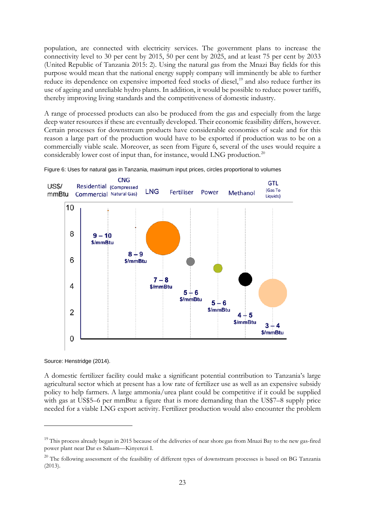population, are connected with electricity services. The government plans to increase the connectivity level to 30 per cent by 2015, 50 per cent by 2025, and at least 75 per cent by 2033 (United Republic of Tanzania 2015: 2). Using the natural gas from the Mnazi Bay fields for this purpose would mean that the national energy supply company will imminently be able to further reduce its dependence on expensive imported feed stocks of diesel,<sup>[19](#page-24-0)</sup> and also reduce further its use of ageing and unreliable hydro plants. In addition, it would be possible to reduce power tariffs, thereby improving living standards and the competitiveness of domestic industry.

A range of processed products can also be produced from the gas and especially from the large deep water resources if these are eventually developed. Their economic feasibility differs, however. Certain processes for downstream products have considerable economies of scale and for this reason a large part of the production would have to be exported if production was to be on a commercially viable scale. Moreover, as seen from Figure 6, several of the uses would require a considerably lower cost of input than, for instance, would LNG production.<sup>[20](#page-24-1)</sup>





Source: Henstridge (2014).

<u>.</u>

A domestic fertilizer facility could make a significant potential contribution to Tanzania's large agricultural sector which at present has a low rate of fertilizer use as well as an expensive subsidy policy to help farmers. A large ammonia/urea plant could be competitive if it could be supplied with gas at US\$5–6 per mmBtu: a figure that is more demanding than the US\$7–8 supply price needed for a viable LNG export activity. Fertilizer production would also encounter the problem

<span id="page-24-0"></span><sup>&</sup>lt;sup>19</sup> This process already began in 2015 because of the deliveries of near shore gas from Mnazi Bay to the new gas-fired power plant near Dar es Salaam—Kinyerezi I.

<span id="page-24-1"></span><sup>&</sup>lt;sup>20</sup> The following assessment of the feasibility of different types of downstream processes is based on BG Tanzania (2013).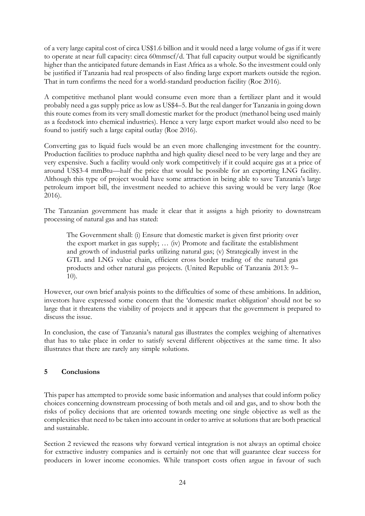of a very large capital cost of circa US\$1.6 billion and it would need a large volume of gas if it were to operate at near full capacity: circa 60mmscf/d. That full capacity output would be significantly higher than the anticipated future demands in East Africa as a whole. So the investment could only be justified if Tanzania had real prospects of also finding large export markets outside the region. That in turn confirms the need for a world-standard production facility (Roe 2016).

A competitive methanol plant would consume even more than a fertilizer plant and it would probably need a gas supply price as low as US\$4–5. But the real danger for Tanzania in going down this route comes from its very small domestic market for the product (methanol being used mainly as a feedstock into chemical industries). Hence a very large export market would also need to be found to justify such a large capital outlay (Roe 2016).

Converting gas to liquid fuels would be an even more challenging investment for the country. Production facilities to produce naphtha and high quality diesel need to be very large and they are very expensive. Such a facility would only work competitively if it could acquire gas at a price of around US\$3-4 mmBtu—half the price that would be possible for an exporting LNG facility. Although this type of project would have some attraction in being able to save Tanzania's large petroleum import bill, the investment needed to achieve this saving would be very large (Roe 2016).

The Tanzanian government has made it clear that it assigns a high priority to downstream processing of natural gas and has stated:

The Government shall: (i) Ensure that domestic market is given first priority over the export market in gas supply; … (iv) Promote and facilitate the establishment and growth of industrial parks utilizing natural gas; (v) Strategically invest in the GTL and LNG value chain, efficient cross border trading of the natural gas products and other natural gas projects. (United Republic of Tanzania 2013: 9– 10).

However, our own brief analysis points to the difficulties of some of these ambitions. In addition, investors have expressed some concern that the 'domestic market obligation' should not be so large that it threatens the viability of projects and it appears that the government is prepared to discuss the issue.

In conclusion, the case of Tanzania's natural gas illustrates the complex weighing of alternatives that has to take place in order to satisfy several different objectives at the same time. It also illustrates that there are rarely any simple solutions.

## **5 Conclusions**

This paper has attempted to provide some basic information and analyses that could inform policy choices concerning downstream processing of both metals and oil and gas, and to show both the risks of policy decisions that are oriented towards meeting one single objective as well as the complexities that need to be taken into account in order to arrive at solutions that are both practical and sustainable.

Section 2 reviewed the reasons why forward vertical integration is not always an optimal choice for extractive industry companies and is certainly not one that will guarantee clear success for producers in lower income economies. While transport costs often argue in favour of such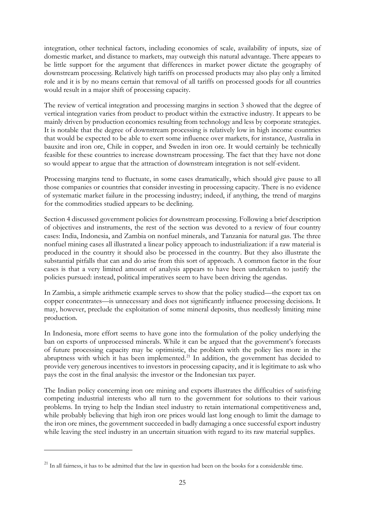integration, other technical factors, including economies of scale, availability of inputs, size of domestic market, and distance to markets, may outweigh this natural advantage. There appears to be little support for the argument that differences in market power dictate the geography of downstream processing. Relatively high tariffs on processed products may also play only a limited role and it is by no means certain that removal of all tariffs on processed goods for all countries would result in a major shift of processing capacity.

The review of vertical integration and processing margins in section 3 showed that the degree of vertical integration varies from product to product within the extractive industry. It appears to be mainly driven by production economics resulting from technology and less by corporate strategies. It is notable that the degree of downstream processing is relatively low in high income countries that would be expected to be able to exert some influence over markets, for instance, Australia in bauxite and iron ore, Chile in copper, and Sweden in iron ore. It would certainly be technically feasible for these countries to increase downstream processing. The fact that they have not done so would appear to argue that the attraction of downstream integration is not self-evident.

Processing margins tend to fluctuate, in some cases dramatically, which should give pause to all those companies or countries that consider investing in processing capacity. There is no evidence of systematic market failure in the processing industry; indeed, if anything, the trend of margins for the commodities studied appears to be declining.

Section 4 discussed government policies for downstream processing. Following a brief description of objectives and instruments, the rest of the section was devoted to a review of four country cases: India, Indonesia, and Zambia on nonfuel minerals, and Tanzania for natural gas. The three nonfuel mining cases all illustrated a linear policy approach to industrialization: if a raw material is produced in the country it should also be processed in the country. But they also illustrate the substantial pitfalls that can and do arise from this sort of approach. A common factor in the four cases is that a very limited amount of analysis appears to have been undertaken to justify the policies pursued: instead, political imperatives seem to have been driving the agendas.

In Zambia, a simple arithmetic example serves to show that the policy studied—the export tax on copper concentrates—is unnecessary and does not significantly influence processing decisions. It may, however, preclude the exploitation of some mineral deposits, thus needlessly limiting mine production.

In Indonesia, more effort seems to have gone into the formulation of the policy underlying the ban on exports of unprocessed minerals. While it can be argued that the government's forecasts of future processing capacity may be optimistic, the problem with the policy lies more in the abruptness with which it has been implemented. $21$  In addition, the government has decided to provide very generous incentives to investors in processing capacity, and it is legitimate to ask who pays the cost in the final analysis: the investor or the Indonesian tax payer.

The Indian policy concerning iron ore mining and exports illustrates the difficulties of satisfying competing industrial interests who all turn to the government for solutions to their various problems. In trying to help the Indian steel industry to retain international competitiveness and, while probably believing that high iron ore prices would last long enough to limit the damage to the iron ore mines, the government succeeded in badly damaging a once successful export industry while leaving the steel industry in an uncertain situation with regard to its raw material supplies.

-

<span id="page-26-0"></span> $^{21}$  In all fairness, it has to be admitted that the law in question had been on the books for a considerable time.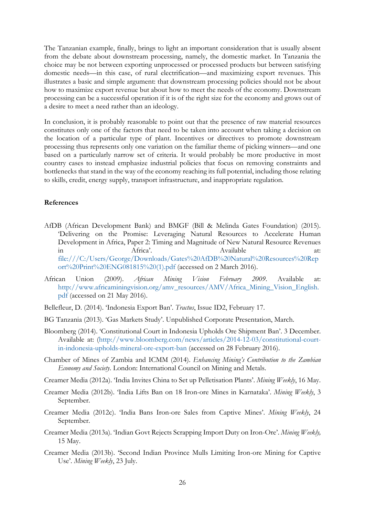The Tanzanian example, finally, brings to light an important consideration that is usually absent from the debate about downstream processing, namely, the domestic market. In Tanzania the choice may be not between exporting unprocessed or processed products but between satisfying domestic needs—in this case, of rural electrification—and maximizing export revenues. This illustrates a basic and simple argument: that downstream processing policies should not be about how to maximize export revenue but about how to meet the needs of the economy. Downstream processing can be a successful operation if it is of the right size for the economy and grows out of a desire to meet a need rather than an ideology.

In conclusion, it is probably reasonable to point out that the presence of raw material resources constitutes only one of the factors that need to be taken into account when taking a decision on the location of a particular type of plant. Incentives or directives to promote downstream processing thus represents only one variation on the familiar theme of picking winners—and one based on a particularly narrow set of criteria. It would probably be more productive in most country cases to instead emphasize industrial policies that focus on removing constraints and bottlenecks that stand in the way of the economy reaching its full potential, including those relating to skills, credit, energy supply, transport infrastructure, and inappropriate regulation.

#### **References**

- AfDB (African Development Bank) and BMGF (Bill & Melinda Gates Foundation) (2015). 'Delivering on the Promise: Leveraging Natural Resources to Accelerate Human Development in Africa, Paper 2: Timing and Magnitude of New Natural Resource Revenues in Africa'. Africa'. Available at: file:///C:/Users/George/Downloads/Gates%20AfDB%20Natural%20Resources%20Rep ort%20Print%20ENG081815%20(1).pdf (accessed on 2 March 2016).
- African Union (2009). *African Mining Vision February 2009*. Available at: [http://www.africaminingvision.org/amv\\_resources/AMV/Africa\\_Mining\\_Vision\\_English.](http://www.africaminingvision.org/amv_resources/AMV/Africa_Mining_Vision_English.pdf) [pdf](http://www.africaminingvision.org/amv_resources/AMV/Africa_Mining_Vision_English.pdf) (accessed on 21 May 2016).
- Bellefleur, D. (2014). 'Indonesia Export Ban'. *Tractus*, Issue ID2, February 17.
- BG Tanzania (2013). 'Gas Markets Study'. Unpublished Corporate Presentation, March.
- Bloomberg (2014). 'Constitutional Court in Indonesia Upholds Ore Shipment Ban'. 3 December. Available at: [\(http://www.bloomberg.com/news/articles/2014-12-03/constitutional-court](http://www.bloomberg.com/news/articles/2014-12-03/constitutional-court-in-indonesia-upholds-mineral-ore-export-ban)[in-indonesia-upholds-mineral-ore-export-ban](http://www.bloomberg.com/news/articles/2014-12-03/constitutional-court-in-indonesia-upholds-mineral-ore-export-ban) (accessed on 28 February 2016).
- Chamber of Mines of Zambia and ICMM (2014). *Enhancing Mining's Contribution to the Zambian Economy and Society*. London: International Council on Mining and Metals.
- Creamer Media (2012a). 'India Invites China to Set up Pelletisation Plants'. *Mining Weekly*, 16 May.
- Creamer Media (2012b). 'India Lifts Ban on 18 Iron-ore Mines in Karnataka'. *Mining Weekly*, 3 September.
- Creamer Media (2012c). 'India Bans Iron-ore Sales from Captive Mines'. *Mining Weekly*, 24 September.
- Creamer Media (2013a). 'Indian Govt Rejects Scrapping Import Duty on Iron-Ore'. *Mining Weekly,*  15 May.
- Creamer Media (2013b). 'Second Indian Province Mulls Limiting Iron-ore Mining for Captive Use'. *Mining Weekly*, 23 July.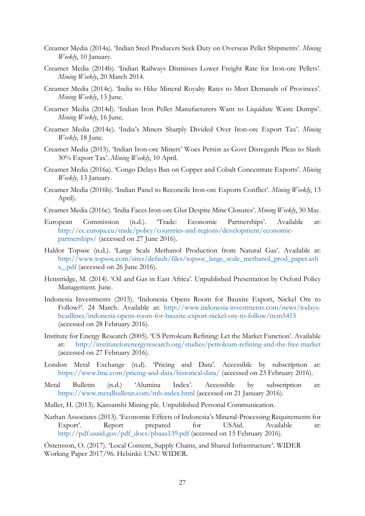- Creamer Media (2014a). 'Indian Steel Producers Seek Duty on Overseas Pellet Shipments'. *Mining Weekly*, 10 January.
- Creamer Media (2014b). 'Indian Railways Dismisses Lower Freight Rate for Iron-ore Pellets'. *Mining Weekly*, 20 March 2014.
- Creamer Media (2014c). 'India to Hike Mineral Royalty Rates to Meet Demands of Provinces'. *Mining Weekly*, 13 June.
- Creamer Media (2014d). 'Indian Iron Pellet Manufacturers Want to Liquidate Waste Dumps'. *Mining Weekly*, 16 June.
- Creamer Media (2014e). 'India's Miners Sharply Divided Over Iron-ore Export Tax'. *Mining Weekly*, 18 June.
- Creamer Media (2015). 'Indian Iron-ore Miners' Woes Persist as Govt Disregards Pleas to Slash 30% Export Tax'. *Mining Weekly*, 10 April.
- Creamer Media (2016a). 'Congo Delays Ban on Copper and Cobalt Concentrate Exports'. *Mining Weekly*, 13 January.
- Creamer Media (2016b). 'Indian Panel to Reconcile Iron-ore Exports Conflict'. *Mining Weekly*, 13 April).
- Creamer Media (2016c). 'India Faces Iron-ore Glut Despite Mine Closures'. *Mining Weekly*, 30 May.
- European Commission (n.d.). 'Trade: Economic Partnerships'. Available at: [http://ec.europa.eu/trade/policy/countries-and-regions/development/economic](http://ec.europa.eu/trade/policy/countries-and-regions/development/economic-partnerships/)[partnerships/](http://ec.europa.eu/trade/policy/countries-and-regions/development/economic-partnerships/) (accessed on 27 June 2016).
- Haldor Topsøe (n.d.). 'Large Scale Methanol Production from Natural Gas'. Available at: [http://www.topsoe.com/sites/default/files/topsoe\\_large\\_scale\\_methanol\\_prod\\_paper.ash](http://www.topsoe.com/sites/default/files/topsoe_large_scale_methanol_prod_paper.ashx_.pdf) [x\\_.pdf](http://www.topsoe.com/sites/default/files/topsoe_large_scale_methanol_prod_paper.ashx_.pdf) (accessed on 26 June 2016).
- Henstridge, M. (2014). 'Oil and Gas in East Africa'. Unpublished Presentation by Oxford Policy Management. June.
- Indonesia Investments (2015). 'Indonesia Opens Room for Bauxite Export, Nickel Ore to Follow?'. 24 March. Available at: [http://www.indonesia-investments.com/news/todays](http://www.indonesia-investments.com/news/todays-headlines/indonesia-opens-room-for-bauxite-export-nickel-ore-to-follow/item5415)[headlines/indonesia-opens-room-for-bauxite-export-nickel-ore-to-follow/item5415](http://www.indonesia-investments.com/news/todays-headlines/indonesia-opens-room-for-bauxite-export-nickel-ore-to-follow/item5415) (accessed on 28 February 2016).
- Institute for Energy Research (2005). 'US Petroleum Refining: Let the Market Function'. Available at: <http://instituteforenergyresearch.org/studies/petroleum-refining-and-the-free-market> (accessed on 27 February 2016).
- London Metal Exchange (n.d). 'Pricing and Data'. Accessible by subscription at: <https://www.lme.com/pricing-and-data/historical-data/> (accessed on 23 February 2016).
- Metal Bulletin (n.d.) 'Alumina Index'. Accessible by subscription at: <https://www.metalbulletin.com/mb-index.html> (accessed on 21 January 2016).
- Muller, H. (2013). Kansanshi Mining plc. Unpublished Personal Communication.
- Nathan Associates (2013). 'Economic Effects of Indonesia's Mineral-Processing Requirements for Export'. Report prepared for USAid. Available at: [http://pdf.usaid.gov/pdf\\_docs/pbaaa139.pdf](http://pdf.usaid.gov/pdf_docs/pbaaa139.pdf) (accessed on 15 February 2016).

Östensson, O. (2017). 'Local Content, Supply Chains, and Shared Infrastructure'. WIDER Working Paper 2017/96. Helsinki: UNU WIDER.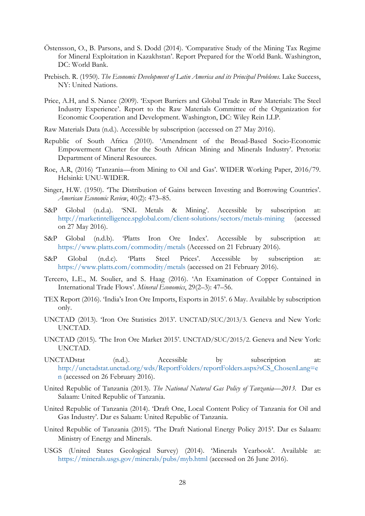- Östensson, O., B. Parsons, and S. Dodd (2014). 'Comparative Study of the Mining Tax Regime for Mineral Exploitation in Kazakhstan'. Report Prepared for the World Bank. Washington, DC: World Bank.
- Prebisch. R. (1950). *The Economic Development of Latin America and its Principal Problems*. Lake Success, NY: United Nations.
- Price, A.H, and S. Nance (2009). 'Export Barriers and Global Trade in Raw Materials: The Steel Industry Experience'. Report to the Raw Materials Committee of the Organization for Economic Cooperation and Development. Washington, DC: Wiley Rein LLP.
- Raw Materials Data (n.d.). Accessible by subscription (accessed on 27 May 2016).
- Republic of South Africa (2010). 'Amendment of the Broad-Based Socio-Economic Empowerment Charter for the South African Mining and Minerals Industry'. Pretoria: Department of Mineral Resources.
- Roe, A.R, (2016) 'Tanzania—from Mining to Oil and Gas'. WIDER Working Paper, 2016/79. Helsinki: UNU-WIDER.
- Singer, H.W. (1950). 'The Distribution of Gains between Investing and Borrowing Countries'. *American Economic Review*, 40(2): 473–85.
- S&P Global (n.d.a). 'SNL Metals & Mining'. Accessible by subscription at: <http://marketintelligence.spglobal.com/client-solutions/sectors/metals-mining> (accessed on 27 May 2016).
- S&P Global (n.d.b). 'Platts Iron Ore Index'. Accessible by subscription at: <https://www.platts.com/commodity/metals> (Accessed on 21 February 2016).
- S&P Global (n.d.c). 'Platts Steel Prices'. Accessible by subscription at: <https://www.platts.com/commodity/metals> (accessed on 21 February 2016).
- Tercero, L.E., M. Soulier, and S. Haag (2016). 'An Examination of Copper Contained in International Trade Flows'. *Mineral Economics*, 29(2–3): 47–56.
- TEX Report (2016). 'India's Iron Ore Imports, Exports in 2015'. 6 May. Available by subscription only.
- UNCTAD (2013). 'Iron Ore Statistics 2013'. UNCTAD/SUC/2013/3. Geneva and New York: UNCTAD.
- UNCTAD (2015). 'The Iron Ore Market 2015'. UNCTAD/SUC/2015/2. Geneva and New York: UNCTAD.
- UNCTADstat (n.d.). Accessible by subscription at: [http://unctadstat.unctad.org/wds/ReportFolders/reportFolders.aspx?sCS\\_ChosenLang=e](http://unctadstat.unctad.org/wds/ReportFolders/reportFolders.aspx?sCS_ChosenLang=en) [n](http://unctadstat.unctad.org/wds/ReportFolders/reportFolders.aspx?sCS_ChosenLang=en) (accessed on 26 February 2016).
- United Republic of Tanzania (2013). *The National Natural Gas Policy of Tanzania—2013.* Dar es Salaam: United Republic of Tanzania.
- United Republic of Tanzania (2014). 'Draft One, Local Content Policy of Tanzania for Oil and Gas Industry'. Dar es Salaam: United Republic of Tanzania.
- United Republic of Tanzania (2015). 'The Draft National Energy Policy 2015'. Dar es Salaam: Ministry of Energy and Minerals.
- USGS (United States Geological Survey) (2014). 'Minerals Yearbook'. Available at: <https://minerals.usgs.gov/minerals/pubs/myb.html> (accessed on 26 June 2016).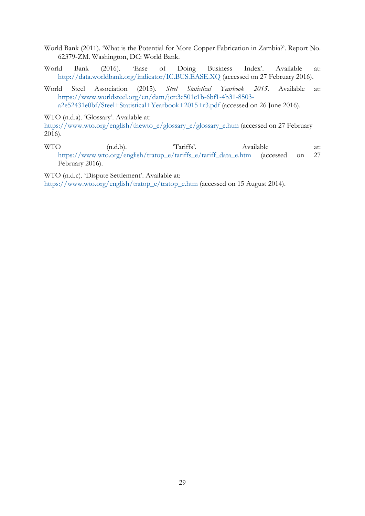- World Bank (2011). 'What is the Potential for More Copper Fabrication in Zambia?'. Report No. 62379-ZM. Washington, DC: World Bank.
- World Bank (2016). 'Ease of Doing Business Index'. Available at: <http://data.worldbank.org/indicator/IC.BUS.EASE.XQ> (accessed on 27 February 2016).
- World Steel Association (2015). *Steel Statistical Yearbook 2015*. Available at: [https://www.worldsteel.org/en/dam/jcr:3e501c1b-6bf1-4b31-8503](https://www.worldsteel.org/en/dam/jcr:3e501c1b-6bf1-4b31-8503-a2e52431e0bf/Steel+Statistical+Yearbook+2015+r3.pdf) [a2e52431e0bf/Steel+Statistical+Yearbook+2015+r3.pdf](https://www.worldsteel.org/en/dam/jcr:3e501c1b-6bf1-4b31-8503-a2e52431e0bf/Steel+Statistical+Yearbook+2015+r3.pdf) (accessed on 26 June 2016).

WTO (n.d.a). 'Glossary'. Available at:

[https://www.wto.org/english/thewto\\_e/glossary\\_e/glossary\\_e.htm](https://www.wto.org/english/thewto_e/glossary_e/glossary_e.htm) (accessed on 27 February 2016).

WTO (n.d.b). 'Tariffs'. Available at: [https://www.wto.org/english/tratop\\_e/tariffs\\_e/tariff\\_data\\_e.htm](https://www.wto.org/english/tratop_e/tariffs_e/tariff_data_e.htm) (accessed on 27 February 2016).

WTO (n.d.c). 'Dispute Settlement'. Available at:

[https://www.wto.org/english/tratop\\_e/tratop\\_e.htm](https://www.wto.org/english/tratop_e/tratop_e.htm) (accessed on 15 August 2014).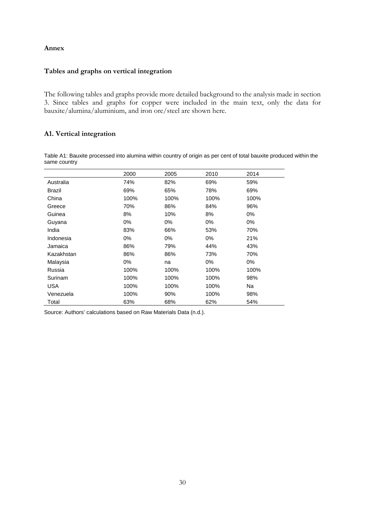#### **Annex**

#### **Tables and graphs on vertical integration**

The following tables and graphs provide more detailed background to the analysis made in section 3. Since tables and graphs for copper were included in the main text, only the data for bauxite/alumina/aluminium, and iron ore/steel are shown here.

#### **A1. Vertical integration**

Table A1: Bauxite processed into alumina within country of origin as per cent of total bauxite produced within the same country

|               | 2000  | 2005  | 2010  | 2014  |
|---------------|-------|-------|-------|-------|
| Australia     | 74%   | 82%   | 69%   | 59%   |
| <b>Brazil</b> | 69%   | 65%   | 78%   | 69%   |
| China         | 100%  | 100%  | 100%  | 100%  |
| Greece        | 70%   | 86%   | 84%   | 96%   |
| Guinea        | 8%    | 10%   | 8%    | $0\%$ |
| Guyana        | $0\%$ | $0\%$ | $0\%$ | $0\%$ |
| India         | 83%   | 66%   | 53%   | 70%   |
| Indonesia     | $0\%$ | 0%    | $0\%$ | 21%   |
| Jamaica       | 86%   | 79%   | 44%   | 43%   |
| Kazakhstan    | 86%   | 86%   | 73%   | 70%   |
| Malaysia      | 0%    | na    | $0\%$ | 0%    |
| Russia        | 100%  | 100%  | 100%  | 100%  |
| Surinam       | 100%  | 100%  | 100%  | 98%   |
| USA           | 100%  | 100%  | 100%  | Na    |
| Venezuela     | 100%  | 90%   | 100%  | 98%   |
| Total         | 63%   | 68%   | 62%   | 54%   |

Source: Authors' calculations based on Raw Materials Data (n.d.).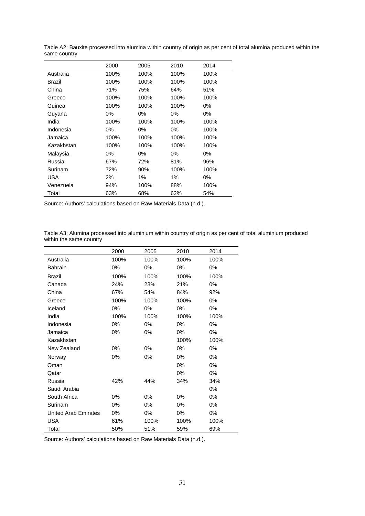|            | 2000 | 2005 | 2010  | 2014  |
|------------|------|------|-------|-------|
| Australia  | 100% | 100% | 100%  | 100%  |
| Brazil     | 100% | 100% | 100%  | 100%  |
| China      | 71%  | 75%  | 64%   | 51%   |
| Greece     | 100% | 100% | 100%  | 100%  |
| Guinea     | 100% | 100% | 100%  | 0%    |
| Guyana     | 0%   | 0%   | 0%    | 0%    |
| India      | 100% | 100% | 100%  | 100%  |
| Indonesia  | 0%   | 0%   | 0%    | 100%  |
| Jamaica    | 100% | 100% | 100%  | 100%  |
| Kazakhstan | 100% | 100% | 100%  | 100%  |
| Malaysia   | 0%   | 0%   | $0\%$ | 0%    |
| Russia     | 67%  | 72%  | 81%   | 96%   |
| Surinam    | 72%  | 90%  | 100%  | 100%  |
| <b>USA</b> | 2%   | 1%   | 1%    | $0\%$ |
| Venezuela  | 94%  | 100% | 88%   | 100%  |
| Total      | 63%  | 68%  | 62%   | 54%   |

Table A2: Bauxite processed into alumina within country of origin as per cent of total alumina produced within the same country

Source: Authors' calculations based on Raw Materials Data (n.d.).

Table A3: Alumina processed into aluminium within country of origin as per cent of total aluminium produced within the same country  $\overline{\phantom{0}}$ 

|                             | 2000 | 2005  | 2010  | 2014  |
|-----------------------------|------|-------|-------|-------|
| Australia                   | 100% | 100%  | 100%  | 100%  |
| <b>Bahrain</b>              | 0%   | 0%    | 0%    | $0\%$ |
| <b>Brazil</b>               | 100% | 100%  | 100%  | 100%  |
| Canada                      | 24%  | 23%   | 21%   | $0\%$ |
| China                       | 67%  | 54%   | 84%   | 92%   |
| Greece                      | 100% | 100%  | 100%  | 0%    |
| Iceland                     | 0%   | 0%    | $0\%$ | $0\%$ |
| India                       | 100% | 100%  | 100%  | 100%  |
| Indonesia                   | 0%   | 0%    | 0%    | $0\%$ |
| Jamaica                     | 0%   | 0%    | 0%    | $0\%$ |
| Kazakhstan                  |      |       | 100%  | 100%  |
| New Zealand                 | 0%   | 0%    | 0%    | 0%    |
| Norway                      | 0%   | 0%    | $0\%$ | 0%    |
| Oman                        |      |       | $0\%$ | $0\%$ |
| Qatar                       |      |       | 0%    | $0\%$ |
| Russia                      | 42%  | 44%   | 34%   | 34%   |
| Saudi Arabia                |      |       |       | 0%    |
| South Africa                | 0%   | 0%    | 0%    | 0%    |
| Surinam                     | 0%   | $0\%$ | $0\%$ | $0\%$ |
| <b>United Arab Emirates</b> | 0%   | 0%    | 0%    | $0\%$ |
| <b>USA</b>                  | 61%  | 100%  | 100%  | 100%  |
| Total                       | 50%  | 51%   | 59%   | 69%   |

Source: Authors' calculations based on Raw Materials Data (n.d.).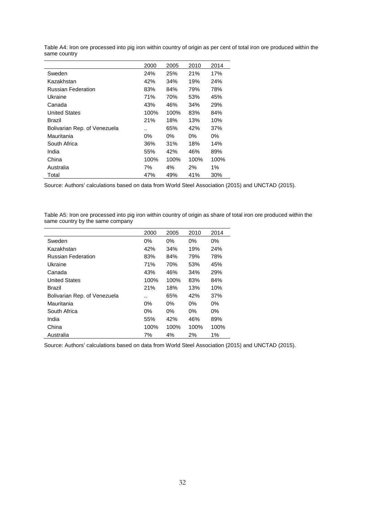|                              | 2000 | 2005 | 2010       | 2014  |
|------------------------------|------|------|------------|-------|
| Sweden                       | 24%  | 25%  | <b>21%</b> | 17%   |
| Kazakhstan                   | 42%  | 34%  | 19%        | 24%   |
| <b>Russian Federation</b>    | 83%  | 84%  | 79%        | 78%   |
| Ukraine                      | 71%  | 70%  | 53%        | 45%   |
| Canada                       | 43%  | 46%  | 34%        | 29%   |
| <b>United States</b>         | 100% | 100% | 83%        | 84%   |
| Brazil                       | 21%  | 18%  | 13%        | 10%   |
| Bolivarian Rep. of Venezuela |      | 65%  | 42%        | 37%   |
| Mauritania                   | 0%   | 0%   | 0%         | 0%    |
| South Africa                 | 36%  | 31%  | 18%        | 14%   |
| India                        | 55%  | 42%  | 46%        | 89%   |
| China                        | 100% | 100% | 100%       | 100%  |
| Australia                    | 7%   | 4%   | 2%         | $1\%$ |
| Total                        | 47%  | 49%  | 41%        | 30%   |

Table A4: Iron ore processed into pig iron within country of origin as per cent of total iron ore produced within the same country

Source: Authors' calculations based on data from World Steel Association (2015) and UNCTAD (2015).

Table A5: Iron ore processed into pig iron within country of origin as share of total iron ore produced within the same country by the same company

|                              | 2000  | 2005  | 2010  | 2014  |
|------------------------------|-------|-------|-------|-------|
| Sweden                       | 0%    | 0%    | $0\%$ | $0\%$ |
| Kazakhstan                   | 42%   | 34%   | 19%   | 24%   |
| <b>Russian Federation</b>    | 83%   | 84%   | 79%   | 78%   |
| Ukraine                      | 71%   | 70%   | 53%   | 45%   |
| Canada                       | 43%   | 46%   | 34%   | 29%   |
| <b>United States</b>         | 100%  | 100%  | 83%   | 84%   |
| Brazil                       | 21%   | 18%   | 13%   | 10%   |
| Bolivarian Rep. of Venezuela |       | 65%   | 42%   | 37%   |
| Mauritania                   | $0\%$ | $0\%$ | $0\%$ | $0\%$ |
| South Africa                 | 0%    | 0%    | $0\%$ | $0\%$ |
| India                        | 55%   | 42%   | 46%   | 89%   |
| China                        | 100%  | 100%  | 100%  | 100%  |
| Australia                    | 7%    | 4%    | 2%    | 1%    |

Source: Authors' calculations based on data from World Steel Association (2015) and UNCTAD (2015).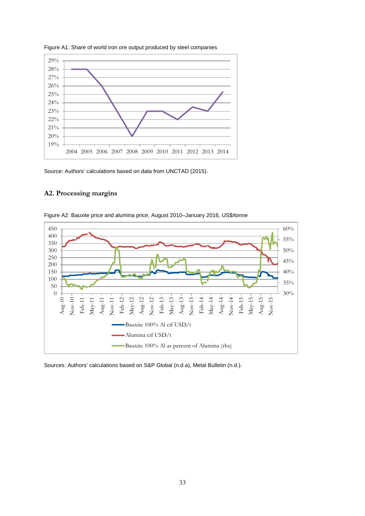

Figure A1: Share of world iron ore output produced by steel companies

Source: Authors' calculations based on data from UNCTAD (2015).

#### **A2. Processing margins**



Figure A2: Bauxite price and alumina price, August 2010–January 2016, US\$/tonne

Sources: Authors' calculations based on S&P Global (n.d.a), Metal Bulletin (n.d.).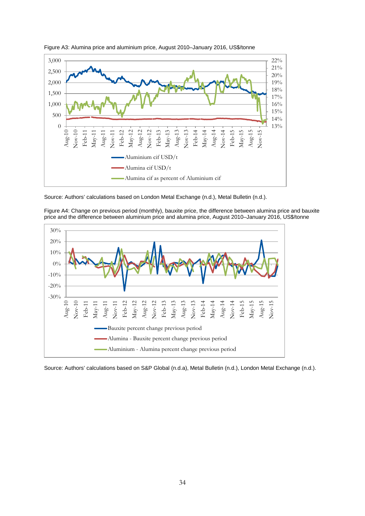

Figure A3: Alumina price and aluminium price, August 2010–January 2016, US\$/tonne

Figure A4: Change on previous period (monthly), bauxite price, the difference between alumina price and bauxite price and the difference between aluminium price and alumina price, August 2010–January 2016, US\$/tonne



Source: Authors' calculations based on S&P Global (n.d.a), Metal Bulletin (n.d.), London Metal Exchange (n.d.).

Source: Authors' calculations based on London Metal Exchange (n.d.), Metal Bulletin (n.d.).